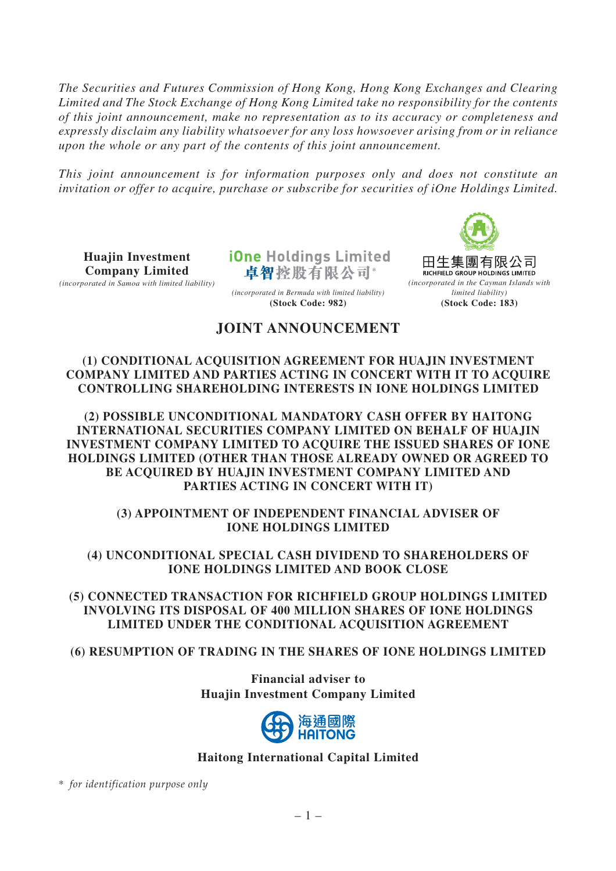*The Securities and Futures Commission of Hong Kong, Hong Kong Exchanges and Clearing Limited and The Stock Exchange of Hong Kong Limited take no responsibility for the contents of this joint announcement, make no representation as to its accuracy or completeness and expressly disclaim any liability whatsoever for any loss howsoever arising from or in reliance upon the whole or any part of the contents of this joint announcement.*

*This joint announcement is for information purposes only and does not constitute an invitation or offer to acquire, purchase or subscribe for securities of iOne Holdings Limited.*

**Huajin Investment Company Limited**

*(incorporated in Samoa with limited liability)*

**iOne Holdings Limited** 卓智控股有限公司\*



# **JOINT ANNOUNCEMENT**

*(incorporated in Bermuda with limited liability)* **(Stock Code: 982)**

### **(1) CONDITIONAL ACQUISITION AGREEMENT FOR HUAJIN INVESTMENT COMPANY LIMITED AND PARTIES ACTING IN CONCERT WITH IT TO ACQUIRE CONTROLLING SHAREHOLDING INTERESTS IN IONE HOLDINGS LIMITED**

**(2) POSSIBLE UNCONDITIONAL MANDATORY CASH OFFER BY HAITONG INTERNATIONAL SECURITIES COMPANY LIMITED ON BEHALF OF HUAJIN INVESTMENT COMPANY LIMITED TO ACQUIRE THE ISSUED SHARES OF IONE HOLDINGS LIMITED (OTHER THAN THOSE ALREADY OWNED OR AGREED TO BE ACQUIRED BY HUAJIN INVESTMENT COMPANY LIMITED AND PARTIES ACTING IN CONCERT WITH IT)**

## **(3) APPOINTMENT OF INDEPENDENT FINANCIAL ADVISER OF IONE HOLDINGS LIMITED**

## **(4) UNCONDITIONAL SPECIAL CASH DIVIDEND TO SHAREHOLDERS OF IONE HOLDINGS LIMITED AND BOOK CLOSE**

**(5) CONNECTED TRANSACTION FOR RICHFIELD GROUP HOLDINGS LIMITED INVOLVING ITS DISPOSAL OF 400 MILLION SHARES OF IONE HOLDINGS LIMITED UNDER THE CONDITIONAL ACQUISITION AGREEMENT**

# **(6) RESUMPTION OF TRADING IN THE SHARES OF IONE HOLDINGS LIMITED**

**Financial adviser to Huajin Investment Company Limited**



# **Haitong International Capital Limited**

\* *for identification purpose only*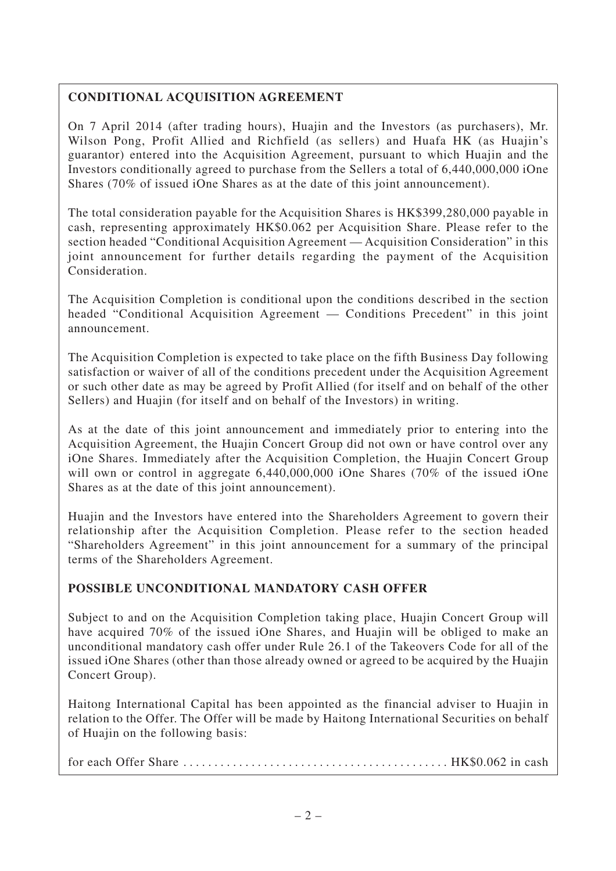# **CONDITIONAL ACQUISITION AGREEMENT**

On 7 April 2014 (after trading hours), Huajin and the Investors (as purchasers), Mr. Wilson Pong, Profit Allied and Richfield (as sellers) and Huafa HK (as Huajin's guarantor) entered into the Acquisition Agreement, pursuant to which Huajin and the Investors conditionally agreed to purchase from the Sellers a total of 6,440,000,000 iOne Shares (70% of issued iOne Shares as at the date of this joint announcement).

The total consideration payable for the Acquisition Shares is HK\$399,280,000 payable in cash, representing approximately HK\$0.062 per Acquisition Share. Please refer to the section headed "Conditional Acquisition Agreement — Acquisition Consideration" in this joint announcement for further details regarding the payment of the Acquisition Consideration.

The Acquisition Completion is conditional upon the conditions described in the section headed "Conditional Acquisition Agreement — Conditions Precedent" in this joint announcement.

The Acquisition Completion is expected to take place on the fifth Business Day following satisfaction or waiver of all of the conditions precedent under the Acquisition Agreement or such other date as may be agreed by Profit Allied (for itself and on behalf of the other Sellers) and Huajin (for itself and on behalf of the Investors) in writing.

As at the date of this joint announcement and immediately prior to entering into the Acquisition Agreement, the Huajin Concert Group did not own or have control over any iOne Shares. Immediately after the Acquisition Completion, the Huajin Concert Group will own or control in aggregate 6,440,000,000 iOne Shares (70% of the issued iOne Shares as at the date of this joint announcement).

Huajin and the Investors have entered into the Shareholders Agreement to govern their relationship after the Acquisition Completion. Please refer to the section headed "Shareholders Agreement" in this joint announcement for a summary of the principal terms of the Shareholders Agreement.

# **POSSIBLE UNCONDITIONAL MANDATORY CASH OFFER**

Subject to and on the Acquisition Completion taking place, Huajin Concert Group will have acquired 70% of the issued iOne Shares, and Huajin will be obliged to make an unconditional mandatory cash offer under Rule 26.1 of the Takeovers Code for all of the issued iOne Shares (other than those already owned or agreed to be acquired by the Huajin Concert Group).

Haitong International Capital has been appointed as the financial adviser to Huajin in relation to the Offer. The Offer will be made by Haitong International Securities on behalf of Huajin on the following basis:

for each Offer Share  $\dots\dots\dots\dots\dots\dots\dots\dots\dots\dots\dots\dots\dots\dots$ . HK\$0.062 in cash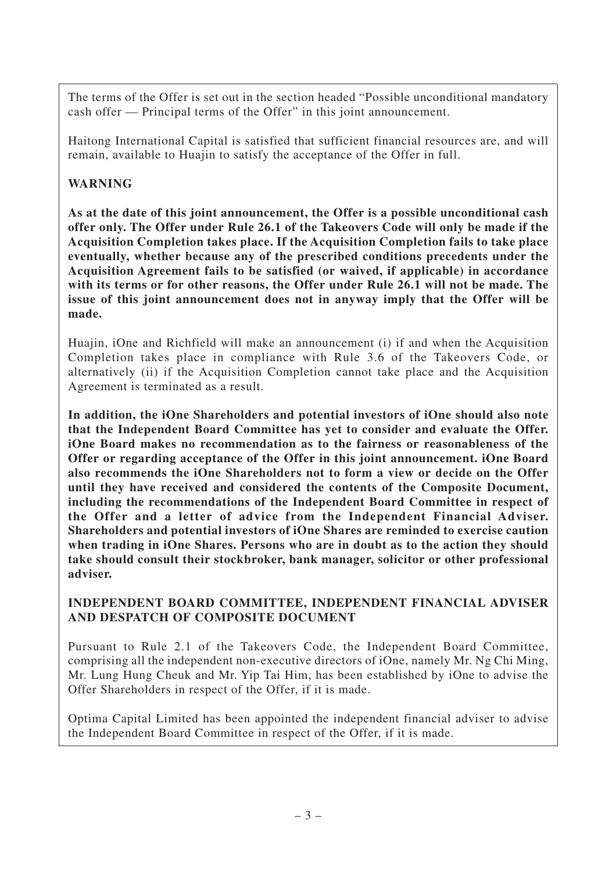The terms of the Offer is set out in the section headed "Possible unconditional mandatory cash offer — Principal terms of the Offer" in this joint announcement.

Haitong International Capital is satisfied that sufficient financial resources are, and will remain, available to Huajin to satisfy the acceptance of the Offer in full.

# **WARNING**

**As at the date of this joint announcement, the Offer is a possible unconditional cash offer only. The Offer under Rule 26.1 of the Takeovers Code will only be made if the Acquisition Completion takes place. If the Acquisition Completion fails to take place eventually, whether because any of the prescribed conditions precedents under the Acquisition Agreement fails to be satisfied (or waived, if applicable) in accordance with its terms or for other reasons, the Offer under Rule 26.1 will not be made. The issue of this joint announcement does not in anyway imply that the Offer will be made.**

Huajin, iOne and Richfield will make an announcement (i) if and when the Acquisition Completion takes place in compliance with Rule 3.6 of the Takeovers Code, or alternatively (ii) if the Acquisition Completion cannot take place and the Acquisition Agreement is terminated as a result.

**In addition, the iOne Shareholders and potential investors of iOne should also note that the Independent Board Committee has yet to consider and evaluate the Offer. iOne Board makes no recommendation as to the fairness or reasonableness of the Offer or regarding acceptance of the Offer in this joint announcement. iOne Board also recommends the iOne Shareholders not to form a view or decide on the Offer until they have received and considered the contents of the Composite Document, including the recommendations of the Independent Board Committee in respect of the Offer and a letter of advice from the Independent Financial Adviser. Shareholders and potential investors of iOne Shares are reminded to exercise caution when trading in iOne Shares. Persons who are in doubt as to the action they should take should consult their stockbroker, bank manager, solicitor or other professional adviser.**

#### **INDEPENDENT BOARD COMMITTEE, INDEPENDENT FINANCIAL ADVISER AND DESPATCH OF COMPOSITE DOCUMENT**

Pursuant to Rule 2.1 of the Takeovers Code, the Independent Board Committee, comprising all the independent non-executive directors of iOne, namely Mr. Ng Chi Ming, Mr. Lung Hung Cheuk and Mr. Yip Tai Him, has been established by iOne to advise the Offer Shareholders in respect of the Offer, if it is made.

Optima Capital Limited has been appointed the independent financial adviser to advise the Independent Board Committee in respect of the Offer, if it is made.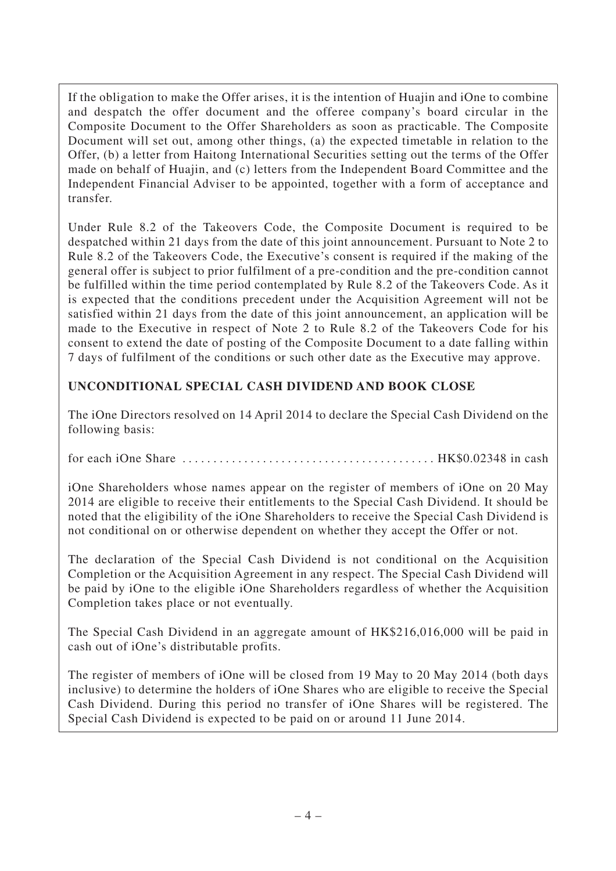If the obligation to make the Offer arises, it is the intention of Huajin and iOne to combine and despatch the offer document and the offeree company's board circular in the Composite Document to the Offer Shareholders as soon as practicable. The Composite Document will set out, among other things, (a) the expected timetable in relation to the Offer, (b) a letter from Haitong International Securities setting out the terms of the Offer made on behalf of Huajin, and (c) letters from the Independent Board Committee and the Independent Financial Adviser to be appointed, together with a form of acceptance and transfer.

Under Rule 8.2 of the Takeovers Code, the Composite Document is required to be despatched within 21 days from the date of this joint announcement. Pursuant to Note 2 to Rule 8.2 of the Takeovers Code, the Executive's consent is required if the making of the general offer is subject to prior fulfilment of a pre-condition and the pre-condition cannot be fulfilled within the time period contemplated by Rule 8.2 of the Takeovers Code. As it is expected that the conditions precedent under the Acquisition Agreement will not be satisfied within 21 days from the date of this joint announcement, an application will be made to the Executive in respect of Note 2 to Rule 8.2 of the Takeovers Code for his consent to extend the date of posting of the Composite Document to a date falling within 7 days of fulfilment of the conditions or such other date as the Executive may approve.

# **UNCONDITIONAL SPECIAL CASH DIVIDEND AND BOOK CLOSE**

The iOne Directors resolved on 14 April 2014 to declare the Special Cash Dividend on the following basis:

for each iOne Share ......................................... HK\$0.02348 in cash

iOne Shareholders whose names appear on the register of members of iOne on 20 May 2014 are eligible to receive their entitlements to the Special Cash Dividend. It should be noted that the eligibility of the iOne Shareholders to receive the Special Cash Dividend is not conditional on or otherwise dependent on whether they accept the Offer or not.

The declaration of the Special Cash Dividend is not conditional on the Acquisition Completion or the Acquisition Agreement in any respect. The Special Cash Dividend will be paid by iOne to the eligible iOne Shareholders regardless of whether the Acquisition Completion takes place or not eventually.

The Special Cash Dividend in an aggregate amount of HK\$216,016,000 will be paid in cash out of iOne's distributable profits.

The register of members of iOne will be closed from 19 May to 20 May 2014 (both days inclusive) to determine the holders of iOne Shares who are eligible to receive the Special Cash Dividend. During this period no transfer of iOne Shares will be registered. The Special Cash Dividend is expected to be paid on or around 11 June 2014.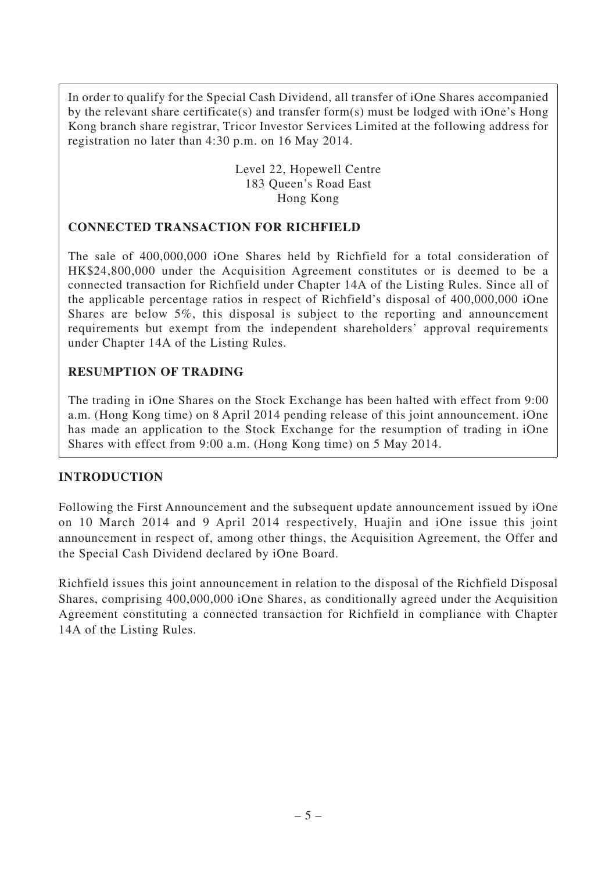In order to qualify for the Special Cash Dividend, all transfer of iOne Shares accompanied by the relevant share certificate(s) and transfer form(s) must be lodged with iOne's Hong Kong branch share registrar, Tricor Investor Services Limited at the following address for registration no later than 4:30 p.m. on 16 May 2014.

> Level 22, Hopewell Centre 183 Queen's Road East Hong Kong

### **CONNECTED TRANSACTION FOR RICHFIELD**

The sale of 400,000,000 iOne Shares held by Richfield for a total consideration of HK\$24,800,000 under the Acquisition Agreement constitutes or is deemed to be a connected transaction for Richfield under Chapter 14A of the Listing Rules. Since all of the applicable percentage ratios in respect of Richfield's disposal of 400,000,000 iOne Shares are below 5%, this disposal is subject to the reporting and announcement requirements but exempt from the independent shareholders' approval requirements under Chapter 14A of the Listing Rules.

## **RESUMPTION OF TRADING**

The trading in iOne Shares on the Stock Exchange has been halted with effect from 9:00 a.m. (Hong Kong time) on 8 April 2014 pending release of this joint announcement. iOne has made an application to the Stock Exchange for the resumption of trading in iOne Shares with effect from 9:00 a.m. (Hong Kong time) on 5 May 2014.

#### **INTRODUCTION**

Following the First Announcement and the subsequent update announcement issued by iOne on 10 March 2014 and 9 April 2014 respectively, Huajin and iOne issue this joint announcement in respect of, among other things, the Acquisition Agreement, the Offer and the Special Cash Dividend declared by iOne Board.

Richfield issues this joint announcement in relation to the disposal of the Richfield Disposal Shares, comprising 400,000,000 iOne Shares, as conditionally agreed under the Acquisition Agreement constituting a connected transaction for Richfield in compliance with Chapter 14A of the Listing Rules.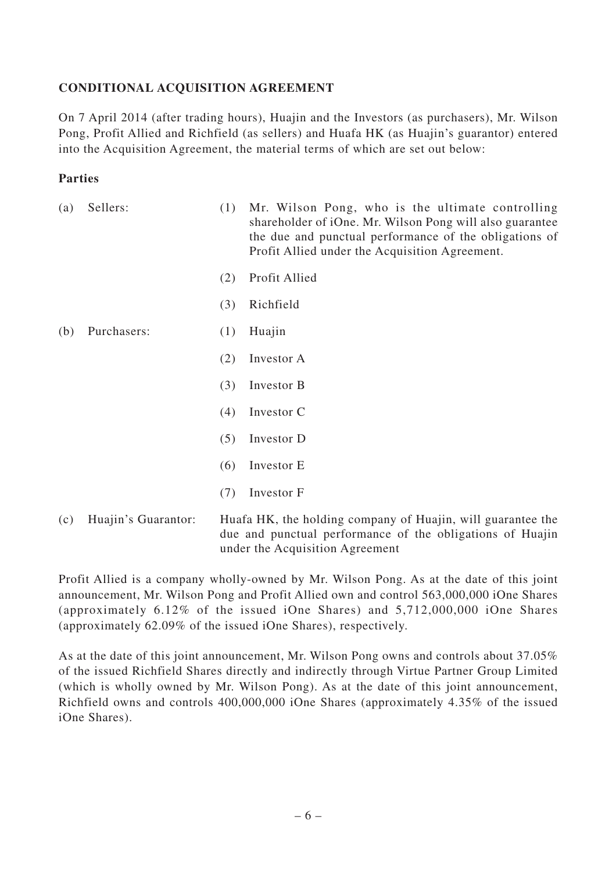# **CONDITIONAL ACQUISITION AGREEMENT**

On 7 April 2014 (after trading hours), Huajin and the Investors (as purchasers), Mr. Wilson Pong, Profit Allied and Richfield (as sellers) and Huafa HK (as Huajin's guarantor) entered into the Acquisition Agreement, the material terms of which are set out below:

#### **Parties**

| (a) | Sellers:    | (1) | Mr. Wilson Pong, who is the ultimate controlling<br>shareholder of iOne. Mr. Wilson Pong will also guarantee<br>the due and punctual performance of the obligations of<br>Profit Allied under the Acquisition Agreement. |
|-----|-------------|-----|--------------------------------------------------------------------------------------------------------------------------------------------------------------------------------------------------------------------------|
|     |             | (2) | Profit Allied                                                                                                                                                                                                            |
|     |             | (3) | Richfield                                                                                                                                                                                                                |
| (b) | Purchasers: | (1) | Huajin                                                                                                                                                                                                                   |
|     |             | (2) | Investor A                                                                                                                                                                                                               |
|     |             | (3) | Investor B                                                                                                                                                                                                               |
|     |             | (4) | Investor C                                                                                                                                                                                                               |
|     |             | (5) | Investor D                                                                                                                                                                                                               |
|     |             | (6) | Investor E                                                                                                                                                                                                               |
|     |             | (7) | Investor F                                                                                                                                                                                                               |
|     |             |     |                                                                                                                                                                                                                          |

(c) Huajin's Guarantor: Huafa HK, the holding company of Huajin, will guarantee the due and punctual performance of the obligations of Huajin under the Acquisition Agreement

Profit Allied is a company wholly-owned by Mr. Wilson Pong. As at the date of this joint announcement, Mr. Wilson Pong and Profit Allied own and control 563,000,000 iOne Shares (approximately 6.12% of the issued iOne Shares) and 5,712,000,000 iOne Shares (approximately 62.09% of the issued iOne Shares), respectively.

As at the date of this joint announcement, Mr. Wilson Pong owns and controls about 37.05% of the issued Richfield Shares directly and indirectly through Virtue Partner Group Limited (which is wholly owned by Mr. Wilson Pong). As at the date of this joint announcement, Richfield owns and controls 400,000,000 iOne Shares (approximately 4.35% of the issued iOne Shares).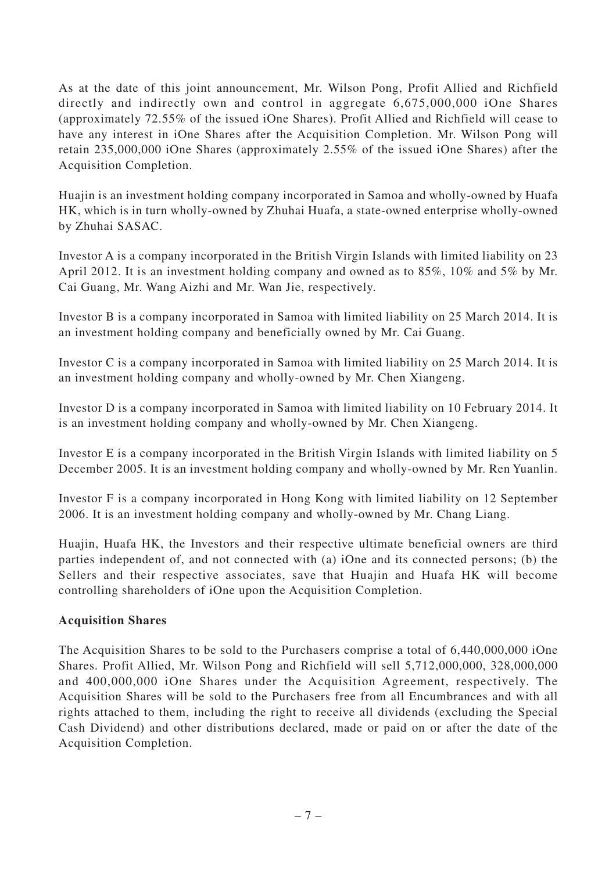As at the date of this joint announcement, Mr. Wilson Pong, Profit Allied and Richfield directly and indirectly own and control in aggregate 6,675,000,000 iOne Shares (approximately 72.55% of the issued iOne Shares). Profit Allied and Richfield will cease to have any interest in iOne Shares after the Acquisition Completion. Mr. Wilson Pong will retain 235,000,000 iOne Shares (approximately 2.55% of the issued iOne Shares) after the Acquisition Completion.

Huajin is an investment holding company incorporated in Samoa and wholly-owned by Huafa HK, which is in turn wholly-owned by Zhuhai Huafa, a state-owned enterprise wholly-owned by Zhuhai SASAC.

Investor A is a company incorporated in the British Virgin Islands with limited liability on 23 April 2012. It is an investment holding company and owned as to 85%, 10% and 5% by Mr. Cai Guang, Mr. Wang Aizhi and Mr. Wan Jie, respectively.

Investor B is a company incorporated in Samoa with limited liability on 25 March 2014. It is an investment holding company and beneficially owned by Mr. Cai Guang.

Investor C is a company incorporated in Samoa with limited liability on 25 March 2014. It is an investment holding company and wholly-owned by Mr. Chen Xiangeng.

Investor D is a company incorporated in Samoa with limited liability on 10 February 2014. It is an investment holding company and wholly-owned by Mr. Chen Xiangeng.

Investor E is a company incorporated in the British Virgin Islands with limited liability on 5 December 2005. It is an investment holding company and wholly-owned by Mr. Ren Yuanlin.

Investor F is a company incorporated in Hong Kong with limited liability on 12 September 2006. It is an investment holding company and wholly-owned by Mr. Chang Liang.

Huajin, Huafa HK, the Investors and their respective ultimate beneficial owners are third parties independent of, and not connected with (a) iOne and its connected persons; (b) the Sellers and their respective associates, save that Huajin and Huafa HK will become controlling shareholders of iOne upon the Acquisition Completion.

#### **Acquisition Shares**

The Acquisition Shares to be sold to the Purchasers comprise a total of 6,440,000,000 iOne Shares. Profit Allied, Mr. Wilson Pong and Richfield will sell 5,712,000,000, 328,000,000 and 400,000,000 iOne Shares under the Acquisition Agreement, respectively. The Acquisition Shares will be sold to the Purchasers free from all Encumbrances and with all rights attached to them, including the right to receive all dividends (excluding the Special Cash Dividend) and other distributions declared, made or paid on or after the date of the Acquisition Completion.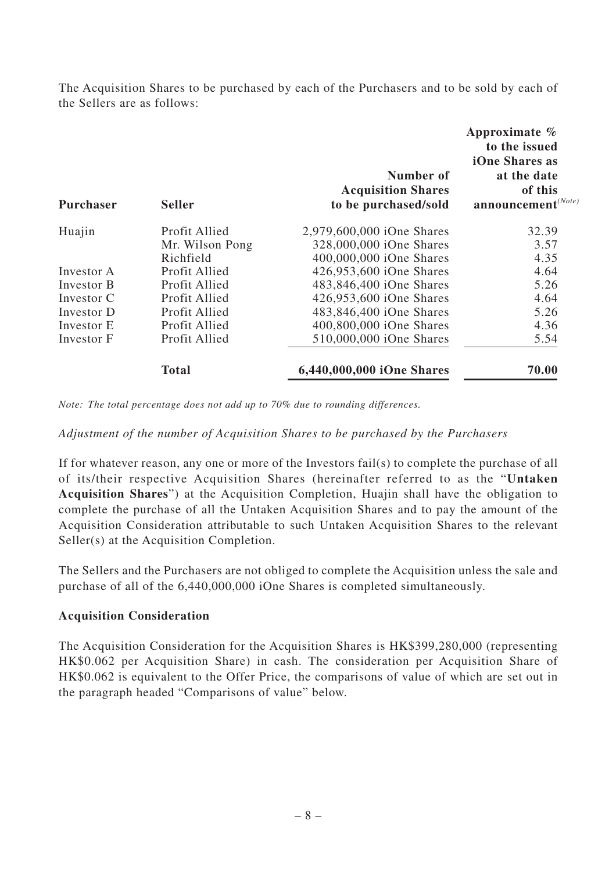The Acquisition Shares to be purchased by each of the Purchasers and to be sold by each of the Sellers are as follows:

| <b>Purchaser</b> | <b>Seller</b>   | Number of<br><b>Acquisition Shares</b><br>to be purchased/sold | Approximate %<br>to the issued<br>iOne Shares as<br>at the date<br>of this<br>$announcement(Note)$ |
|------------------|-----------------|----------------------------------------------------------------|----------------------------------------------------------------------------------------------------|
| Huajin           | Profit Allied   | 2,979,600,000 iOne Shares                                      | 32.39                                                                                              |
|                  | Mr. Wilson Pong | 328,000,000 iOne Shares                                        | 3.57                                                                                               |
|                  | Richfield       | 400,000,000 iOne Shares                                        | 4.35                                                                                               |
| Investor A       | Profit Allied   | 426,953,600 iOne Shares                                        | 4.64                                                                                               |
| Investor B       | Profit Allied   | 483,846,400 iOne Shares                                        | 5.26                                                                                               |
| Investor C       | Profit Allied   | 426,953,600 iOne Shares                                        | 4.64                                                                                               |
| Investor D       | Profit Allied   | 483,846,400 iOne Shares                                        | 5.26                                                                                               |
| Investor E       | Profit Allied   | 400,800,000 iOne Shares                                        | 4.36                                                                                               |
| Investor F       | Profit Allied   | 510,000,000 iOne Shares                                        | 5.54                                                                                               |
|                  | <b>Total</b>    | 6,440,000,000 iOne Shares                                      | 70.00                                                                                              |

*Note: The total percentage does not add up to 70% due to rounding differences.*

#### *Adjustment of the number of Acquisition Shares to be purchased by the Purchasers*

If for whatever reason, any one or more of the Investors fail(s) to complete the purchase of all of its/their respective Acquisition Shares (hereinafter referred to as the "**Untaken Acquisition Shares**") at the Acquisition Completion, Huajin shall have the obligation to complete the purchase of all the Untaken Acquisition Shares and to pay the amount of the Acquisition Consideration attributable to such Untaken Acquisition Shares to the relevant Seller(s) at the Acquisition Completion.

The Sellers and the Purchasers are not obliged to complete the Acquisition unless the sale and purchase of all of the 6,440,000,000 iOne Shares is completed simultaneously.

#### **Acquisition Consideration**

The Acquisition Consideration for the Acquisition Shares is HK\$399,280,000 (representing HK\$0.062 per Acquisition Share) in cash. The consideration per Acquisition Share of HK\$0.062 is equivalent to the Offer Price, the comparisons of value of which are set out in the paragraph headed "Comparisons of value" below.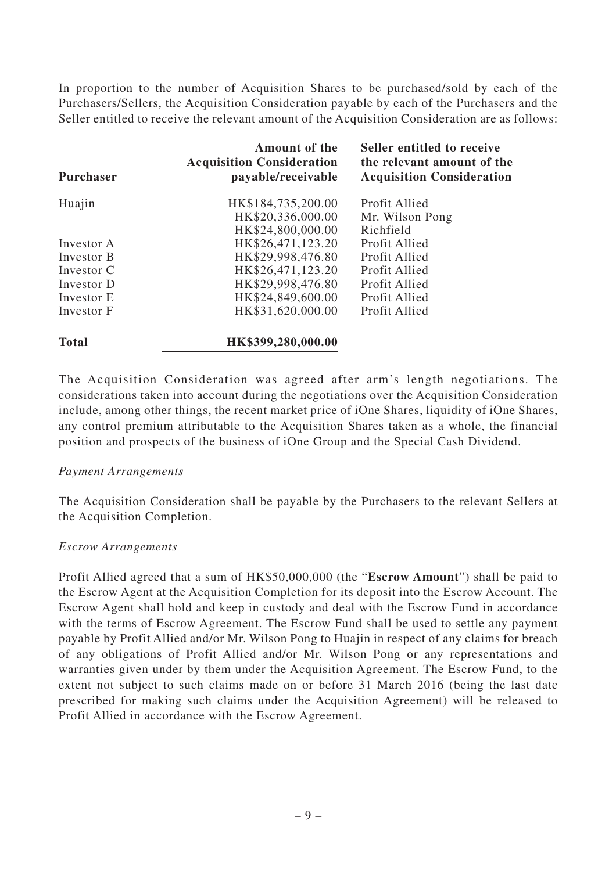In proportion to the number of Acquisition Shares to be purchased/sold by each of the Purchasers/Sellers, the Acquisition Consideration payable by each of the Purchasers and the Seller entitled to receive the relevant amount of the Acquisition Consideration are as follows:

| <b>Purchaser</b> | Amount of the<br><b>Acquisition Consideration</b><br>payable/receivable | Seller entitled to receive<br>the relevant amount of the<br><b>Acquisition Consideration</b> |
|------------------|-------------------------------------------------------------------------|----------------------------------------------------------------------------------------------|
| Huajin           | HK\$184,735,200.00                                                      | Profit Allied                                                                                |
|                  | HK\$20,336,000.00                                                       | Mr. Wilson Pong                                                                              |
|                  | HK\$24,800,000.00                                                       | Richfield                                                                                    |
| Investor A       | HK\$26,471,123.20                                                       | Profit Allied                                                                                |
| Investor B       | HK\$29,998,476.80                                                       | Profit Allied                                                                                |
| Investor C       | HK\$26,471,123.20                                                       | Profit Allied                                                                                |
| Investor D       | HK\$29,998,476.80                                                       | Profit Allied                                                                                |
| Investor E       | HK\$24,849,600.00                                                       | Profit Allied                                                                                |
| Investor F       | HK\$31,620,000.00                                                       | Profit Allied                                                                                |
| <b>Total</b>     | HK\$399,280,000.00                                                      |                                                                                              |

The Acquisition Consideration was agreed after arm's length negotiations. The considerations taken into account during the negotiations over the Acquisition Consideration include, among other things, the recent market price of iOne Shares, liquidity of iOne Shares, any control premium attributable to the Acquisition Shares taken as a whole, the financial position and prospects of the business of iOne Group and the Special Cash Dividend.

#### *Payment Arrangements*

The Acquisition Consideration shall be payable by the Purchasers to the relevant Sellers at the Acquisition Completion.

#### *Escrow Arrangements*

Profit Allied agreed that a sum of HK\$50,000,000 (the "**Escrow Amount**") shall be paid to the Escrow Agent at the Acquisition Completion for its deposit into the Escrow Account. The Escrow Agent shall hold and keep in custody and deal with the Escrow Fund in accordance with the terms of Escrow Agreement. The Escrow Fund shall be used to settle any payment payable by Profit Allied and/or Mr. Wilson Pong to Huajin in respect of any claims for breach of any obligations of Profit Allied and/or Mr. Wilson Pong or any representations and warranties given under by them under the Acquisition Agreement. The Escrow Fund, to the extent not subject to such claims made on or before 31 March 2016 (being the last date prescribed for making such claims under the Acquisition Agreement) will be released to Profit Allied in accordance with the Escrow Agreement.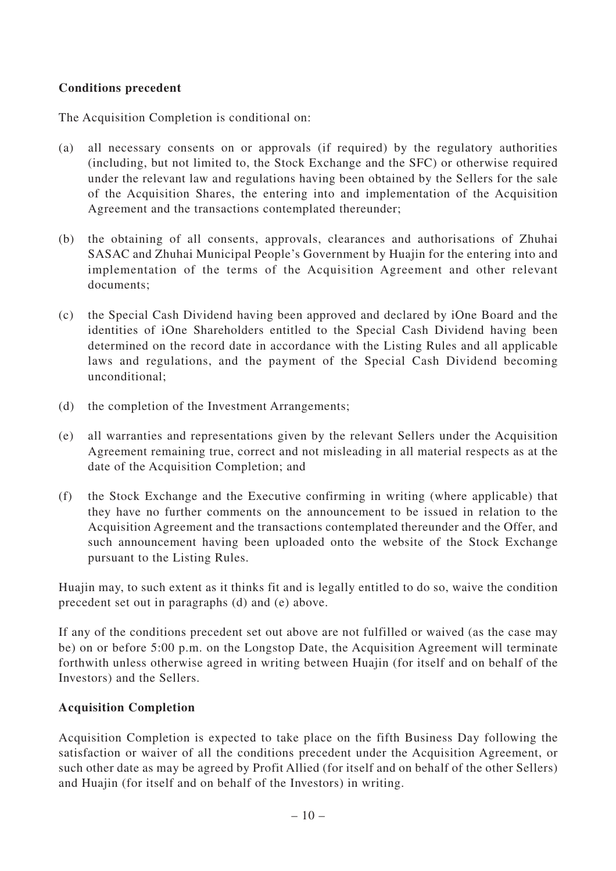## **Conditions precedent**

The Acquisition Completion is conditional on:

- (a) all necessary consents on or approvals (if required) by the regulatory authorities (including, but not limited to, the Stock Exchange and the SFC) or otherwise required under the relevant law and regulations having been obtained by the Sellers for the sale of the Acquisition Shares, the entering into and implementation of the Acquisition Agreement and the transactions contemplated thereunder;
- (b) the obtaining of all consents, approvals, clearances and authorisations of Zhuhai SASAC and Zhuhai Municipal People's Government by Huajin for the entering into and implementation of the terms of the Acquisition Agreement and other relevant documents;
- (c) the Special Cash Dividend having been approved and declared by iOne Board and the identities of iOne Shareholders entitled to the Special Cash Dividend having been determined on the record date in accordance with the Listing Rules and all applicable laws and regulations, and the payment of the Special Cash Dividend becoming unconditional;
- (d) the completion of the Investment Arrangements;
- (e) all warranties and representations given by the relevant Sellers under the Acquisition Agreement remaining true, correct and not misleading in all material respects as at the date of the Acquisition Completion; and
- (f) the Stock Exchange and the Executive confirming in writing (where applicable) that they have no further comments on the announcement to be issued in relation to the Acquisition Agreement and the transactions contemplated thereunder and the Offer, and such announcement having been uploaded onto the website of the Stock Exchange pursuant to the Listing Rules.

Huajin may, to such extent as it thinks fit and is legally entitled to do so, waive the condition precedent set out in paragraphs (d) and (e) above.

If any of the conditions precedent set out above are not fulfilled or waived (as the case may be) on or before 5:00 p.m. on the Longstop Date, the Acquisition Agreement will terminate forthwith unless otherwise agreed in writing between Huajin (for itself and on behalf of the Investors) and the Sellers.

# **Acquisition Completion**

Acquisition Completion is expected to take place on the fifth Business Day following the satisfaction or waiver of all the conditions precedent under the Acquisition Agreement, or such other date as may be agreed by Profit Allied (for itself and on behalf of the other Sellers) and Huajin (for itself and on behalf of the Investors) in writing.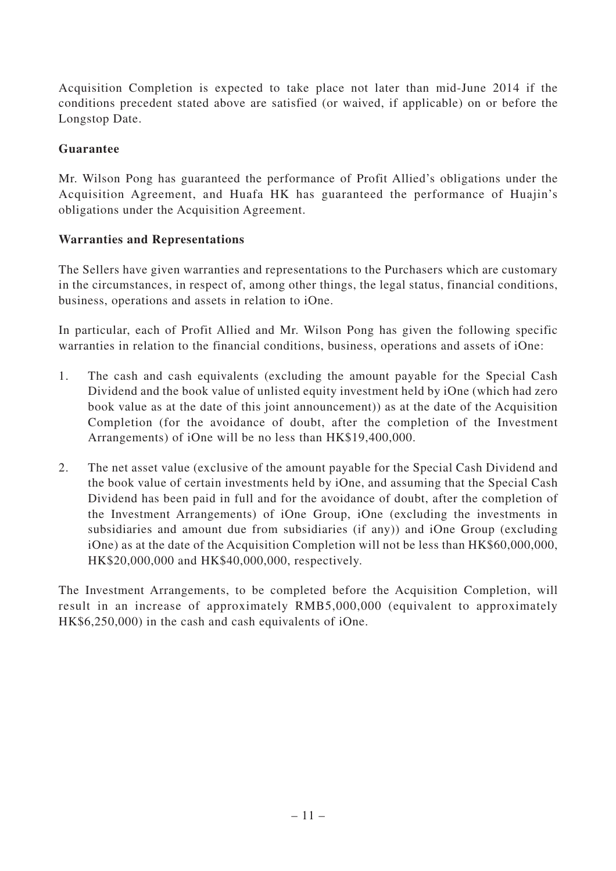Acquisition Completion is expected to take place not later than mid-June 2014 if the conditions precedent stated above are satisfied (or waived, if applicable) on or before the Longstop Date.

# **Guarantee**

Mr. Wilson Pong has guaranteed the performance of Profit Allied's obligations under the Acquisition Agreement, and Huafa HK has guaranteed the performance of Huajin's obligations under the Acquisition Agreement.

## **Warranties and Representations**

The Sellers have given warranties and representations to the Purchasers which are customary in the circumstances, in respect of, among other things, the legal status, financial conditions, business, operations and assets in relation to iOne.

In particular, each of Profit Allied and Mr. Wilson Pong has given the following specific warranties in relation to the financial conditions, business, operations and assets of iOne:

- 1. The cash and cash equivalents (excluding the amount payable for the Special Cash Dividend and the book value of unlisted equity investment held by iOne (which had zero book value as at the date of this joint announcement)) as at the date of the Acquisition Completion (for the avoidance of doubt, after the completion of the Investment Arrangements) of iOne will be no less than HK\$19,400,000.
- 2. The net asset value (exclusive of the amount payable for the Special Cash Dividend and the book value of certain investments held by iOne, and assuming that the Special Cash Dividend has been paid in full and for the avoidance of doubt, after the completion of the Investment Arrangements) of iOne Group, iOne (excluding the investments in subsidiaries and amount due from subsidiaries (if any)) and iOne Group (excluding iOne) as at the date of the Acquisition Completion will not be less than HK\$60,000,000, HK\$20,000,000 and HK\$40,000,000, respectively.

The Investment Arrangements, to be completed before the Acquisition Completion, will result in an increase of approximately RMB5,000,000 (equivalent to approximately HK\$6,250,000) in the cash and cash equivalents of iOne.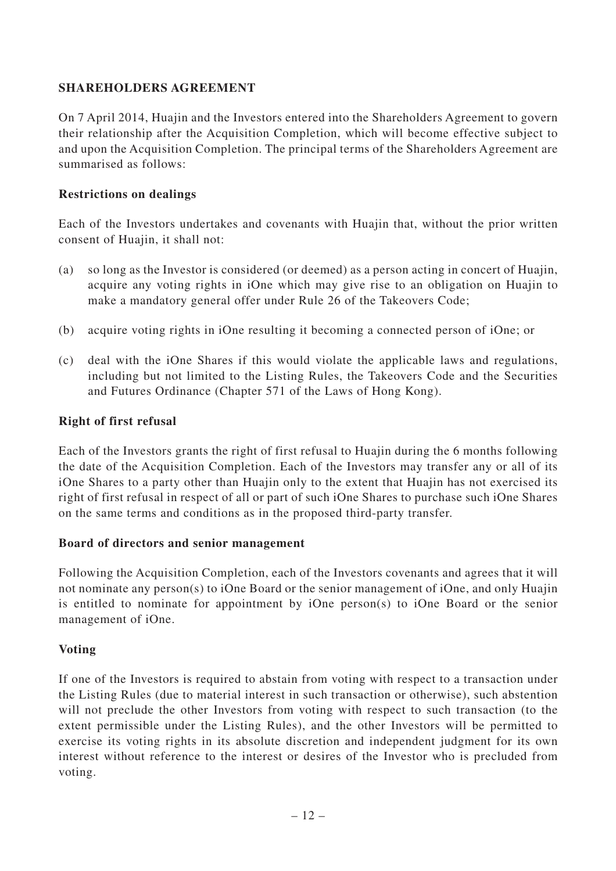# **SHAREHOLDERS AGREEMENT**

On 7 April 2014, Huajin and the Investors entered into the Shareholders Agreement to govern their relationship after the Acquisition Completion, which will become effective subject to and upon the Acquisition Completion. The principal terms of the Shareholders Agreement are summarised as follows:

#### **Restrictions on dealings**

Each of the Investors undertakes and covenants with Huajin that, without the prior written consent of Huajin, it shall not:

- (a) so long as the Investor is considered (or deemed) as a person acting in concert of Huajin, acquire any voting rights in iOne which may give rise to an obligation on Huajin to make a mandatory general offer under Rule 26 of the Takeovers Code;
- (b) acquire voting rights in iOne resulting it becoming a connected person of iOne; or
- (c) deal with the iOne Shares if this would violate the applicable laws and regulations, including but not limited to the Listing Rules, the Takeovers Code and the Securities and Futures Ordinance (Chapter 571 of the Laws of Hong Kong).

#### **Right of first refusal**

Each of the Investors grants the right of first refusal to Huajin during the 6 months following the date of the Acquisition Completion. Each of the Investors may transfer any or all of its iOne Shares to a party other than Huajin only to the extent that Huajin has not exercised its right of first refusal in respect of all or part of such iOne Shares to purchase such iOne Shares on the same terms and conditions as in the proposed third-party transfer.

#### **Board of directors and senior management**

Following the Acquisition Completion, each of the Investors covenants and agrees that it will not nominate any person(s) to iOne Board or the senior management of iOne, and only Huajin is entitled to nominate for appointment by iOne person(s) to iOne Board or the senior management of iOne.

#### **Voting**

If one of the Investors is required to abstain from voting with respect to a transaction under the Listing Rules (due to material interest in such transaction or otherwise), such abstention will not preclude the other Investors from voting with respect to such transaction (to the extent permissible under the Listing Rules), and the other Investors will be permitted to exercise its voting rights in its absolute discretion and independent judgment for its own interest without reference to the interest or desires of the Investor who is precluded from voting.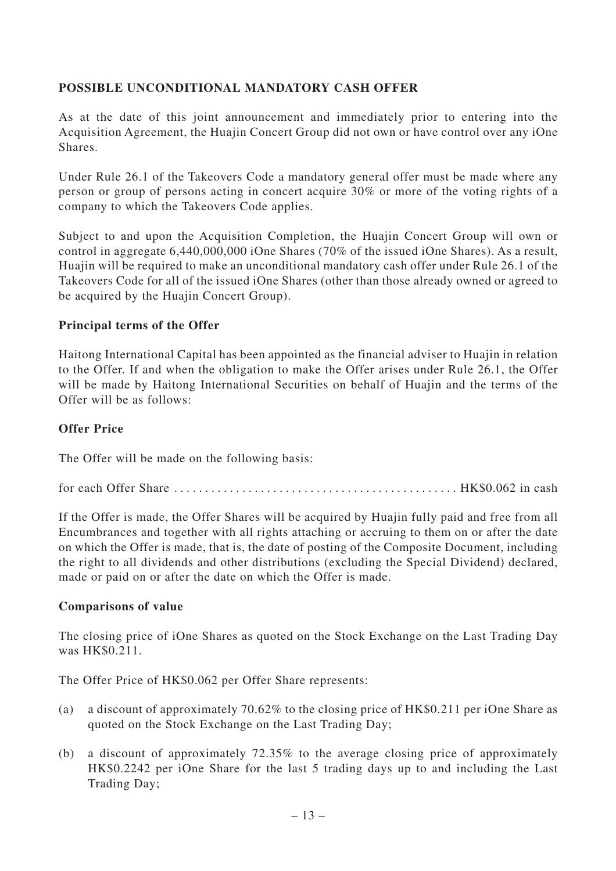# **POSSIBLE UNCONDITIONAL MANDATORY CASH OFFER**

As at the date of this joint announcement and immediately prior to entering into the Acquisition Agreement, the Huajin Concert Group did not own or have control over any iOne Shares.

Under Rule 26.1 of the Takeovers Code a mandatory general offer must be made where any person or group of persons acting in concert acquire 30% or more of the voting rights of a company to which the Takeovers Code applies.

Subject to and upon the Acquisition Completion, the Huajin Concert Group will own or control in aggregate 6,440,000,000 iOne Shares (70% of the issued iOne Shares). As a result, Huajin will be required to make an unconditional mandatory cash offer under Rule 26.1 of the Takeovers Code for all of the issued iOne Shares (other than those already owned or agreed to be acquired by the Huajin Concert Group).

#### **Principal terms of the Offer**

Haitong International Capital has been appointed as the financial adviser to Huajin in relation to the Offer. If and when the obligation to make the Offer arises under Rule 26.1, the Offer will be made by Haitong International Securities on behalf of Huajin and the terms of the Offer will be as follows:

### **Offer Price**

The Offer will be made on the following basis:

for each Offer Share .............................................. HK\$0.062 in cash

If the Offer is made, the Offer Shares will be acquired by Huajin fully paid and free from all Encumbrances and together with all rights attaching or accruing to them on or after the date on which the Offer is made, that is, the date of posting of the Composite Document, including the right to all dividends and other distributions (excluding the Special Dividend) declared, made or paid on or after the date on which the Offer is made.

#### **Comparisons of value**

The closing price of iOne Shares as quoted on the Stock Exchange on the Last Trading Day was HK\$0.211.

The Offer Price of HK\$0.062 per Offer Share represents:

- (a) a discount of approximately 70.62% to the closing price of HK\$0.211 per iOne Share as quoted on the Stock Exchange on the Last Trading Day;
- (b) a discount of approximately 72.35% to the average closing price of approximately HK\$0.2242 per iOne Share for the last 5 trading days up to and including the Last Trading Day;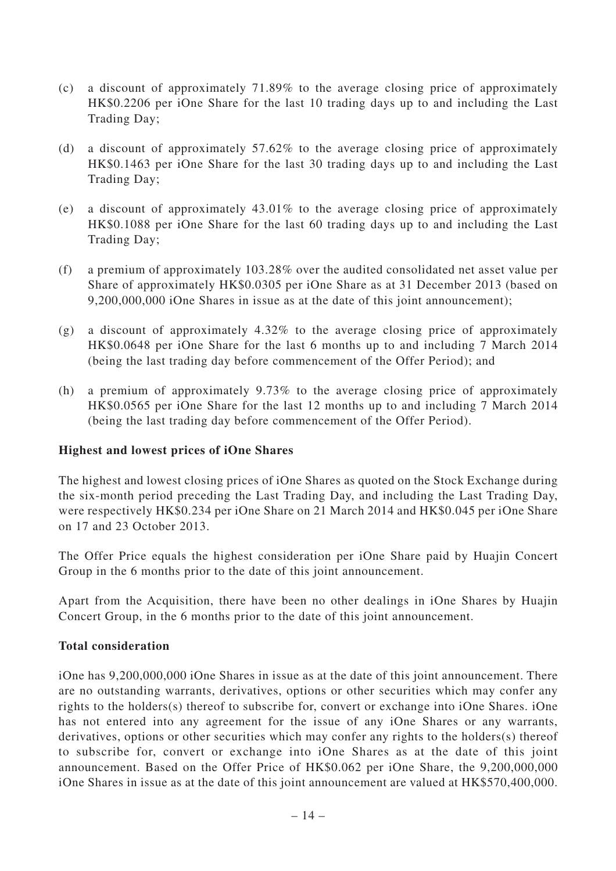- (c) a discount of approximately 71.89% to the average closing price of approximately HK\$0.2206 per iOne Share for the last 10 trading days up to and including the Last Trading Day;
- (d) a discount of approximately 57.62% to the average closing price of approximately HK\$0.1463 per iOne Share for the last 30 trading days up to and including the Last Trading Day;
- (e) a discount of approximately 43.01% to the average closing price of approximately HK\$0.1088 per iOne Share for the last 60 trading days up to and including the Last Trading Day;
- (f) a premium of approximately 103.28% over the audited consolidated net asset value per Share of approximately HK\$0.0305 per iOne Share as at 31 December 2013 (based on 9,200,000,000 iOne Shares in issue as at the date of this joint announcement);
- (g) a discount of approximately 4.32% to the average closing price of approximately HK\$0.0648 per iOne Share for the last 6 months up to and including 7 March 2014 (being the last trading day before commencement of the Offer Period); and
- (h) a premium of approximately 9.73% to the average closing price of approximately HK\$0.0565 per iOne Share for the last 12 months up to and including 7 March 2014 (being the last trading day before commencement of the Offer Period).

#### **Highest and lowest prices of iOne Shares**

The highest and lowest closing prices of iOne Shares as quoted on the Stock Exchange during the six-month period preceding the Last Trading Day, and including the Last Trading Day, were respectively HK\$0.234 per iOne Share on 21 March 2014 and HK\$0.045 per iOne Share on 17 and 23 October 2013.

The Offer Price equals the highest consideration per iOne Share paid by Huajin Concert Group in the 6 months prior to the date of this joint announcement.

Apart from the Acquisition, there have been no other dealings in iOne Shares by Huajin Concert Group, in the 6 months prior to the date of this joint announcement.

#### **Total consideration**

iOne has 9,200,000,000 iOne Shares in issue as at the date of this joint announcement. There are no outstanding warrants, derivatives, options or other securities which may confer any rights to the holders(s) thereof to subscribe for, convert or exchange into iOne Shares. iOne has not entered into any agreement for the issue of any iOne Shares or any warrants, derivatives, options or other securities which may confer any rights to the holders(s) thereof to subscribe for, convert or exchange into iOne Shares as at the date of this joint announcement. Based on the Offer Price of HK\$0.062 per iOne Share, the 9,200,000,000 iOne Shares in issue as at the date of this joint announcement are valued at HK\$570,400,000.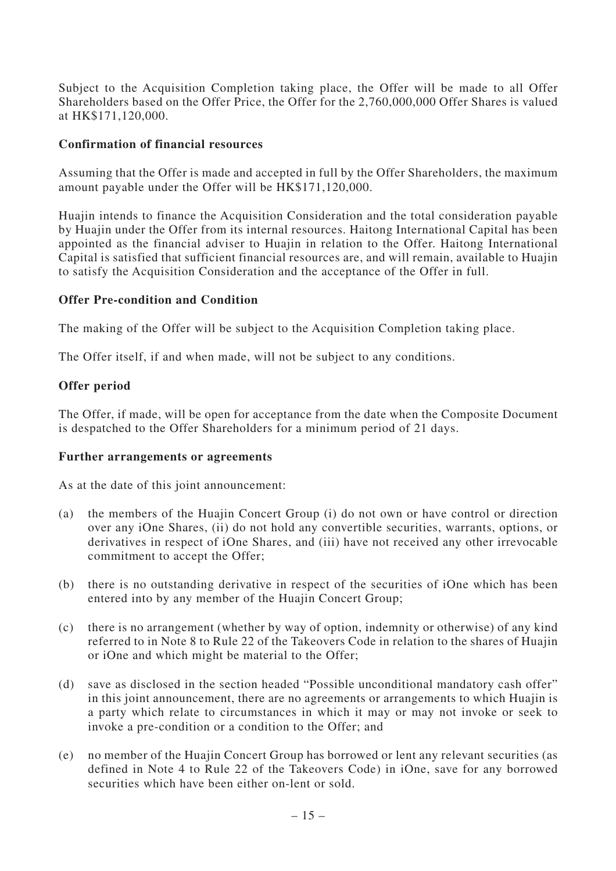Subject to the Acquisition Completion taking place, the Offer will be made to all Offer Shareholders based on the Offer Price, the Offer for the 2,760,000,000 Offer Shares is valued at HK\$171,120,000.

### **Confirmation of financial resources**

Assuming that the Offer is made and accepted in full by the Offer Shareholders, the maximum amount payable under the Offer will be HK\$171,120,000.

Huajin intends to finance the Acquisition Consideration and the total consideration payable by Huajin under the Offer from its internal resources. Haitong International Capital has been appointed as the financial adviser to Huajin in relation to the Offer. Haitong International Capital is satisfied that sufficient financial resources are, and will remain, available to Huajin to satisfy the Acquisition Consideration and the acceptance of the Offer in full.

## **Offer Pre-condition and Condition**

The making of the Offer will be subject to the Acquisition Completion taking place.

The Offer itself, if and when made, will not be subject to any conditions.

# **Offer period**

The Offer, if made, will be open for acceptance from the date when the Composite Document is despatched to the Offer Shareholders for a minimum period of 21 days.

#### **Further arrangements or agreements**

As at the date of this joint announcement:

- (a) the members of the Huajin Concert Group (i) do not own or have control or direction over any iOne Shares, (ii) do not hold any convertible securities, warrants, options, or derivatives in respect of iOne Shares, and (iii) have not received any other irrevocable commitment to accept the Offer;
- (b) there is no outstanding derivative in respect of the securities of iOne which has been entered into by any member of the Huajin Concert Group;
- (c) there is no arrangement (whether by way of option, indemnity or otherwise) of any kind referred to in Note 8 to Rule 22 of the Takeovers Code in relation to the shares of Huajin or iOne and which might be material to the Offer;
- (d) save as disclosed in the section headed "Possible unconditional mandatory cash offer" in this joint announcement, there are no agreements or arrangements to which Huajin is a party which relate to circumstances in which it may or may not invoke or seek to invoke a pre-condition or a condition to the Offer; and
- (e) no member of the Huajin Concert Group has borrowed or lent any relevant securities (as defined in Note 4 to Rule 22 of the Takeovers Code) in iOne, save for any borrowed securities which have been either on-lent or sold.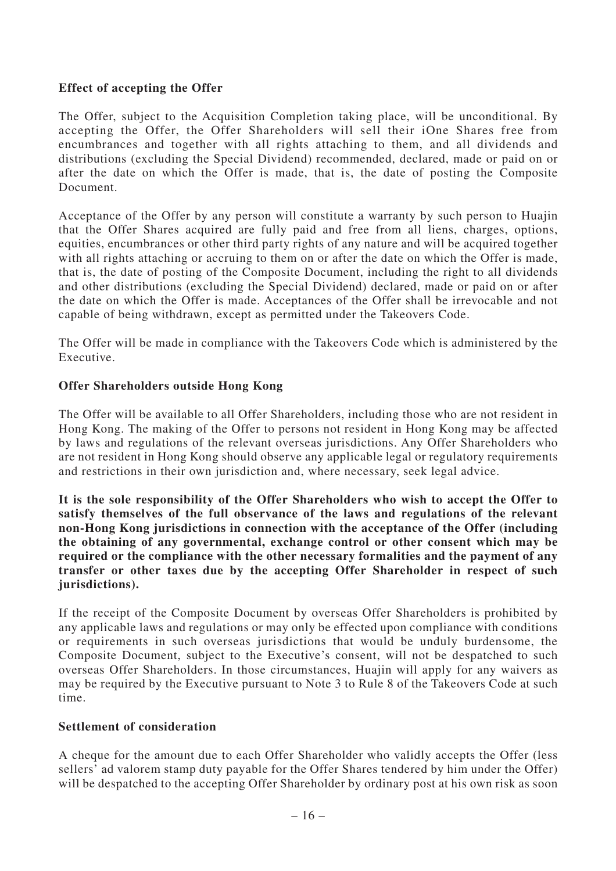### **Effect of accepting the Offer**

The Offer, subject to the Acquisition Completion taking place, will be unconditional. By accepting the Offer, the Offer Shareholders will sell their iOne Shares free from encumbrances and together with all rights attaching to them, and all dividends and distributions (excluding the Special Dividend) recommended, declared, made or paid on or after the date on which the Offer is made, that is, the date of posting the Composite Document.

Acceptance of the Offer by any person will constitute a warranty by such person to Huajin that the Offer Shares acquired are fully paid and free from all liens, charges, options, equities, encumbrances or other third party rights of any nature and will be acquired together with all rights attaching or accruing to them on or after the date on which the Offer is made, that is, the date of posting of the Composite Document, including the right to all dividends and other distributions (excluding the Special Dividend) declared, made or paid on or after the date on which the Offer is made. Acceptances of the Offer shall be irrevocable and not capable of being withdrawn, except as permitted under the Takeovers Code.

The Offer will be made in compliance with the Takeovers Code which is administered by the Executive.

#### **Offer Shareholders outside Hong Kong**

The Offer will be available to all Offer Shareholders, including those who are not resident in Hong Kong. The making of the Offer to persons not resident in Hong Kong may be affected by laws and regulations of the relevant overseas jurisdictions. Any Offer Shareholders who are not resident in Hong Kong should observe any applicable legal or regulatory requirements and restrictions in their own jurisdiction and, where necessary, seek legal advice.

**It is the sole responsibility of the Offer Shareholders who wish to accept the Offer to satisfy themselves of the full observance of the laws and regulations of the relevant non-Hong Kong jurisdictions in connection with the acceptance of the Offer (including the obtaining of any governmental, exchange control or other consent which may be required or the compliance with the other necessary formalities and the payment of any transfer or other taxes due by the accepting Offer Shareholder in respect of such jurisdictions).**

If the receipt of the Composite Document by overseas Offer Shareholders is prohibited by any applicable laws and regulations or may only be effected upon compliance with conditions or requirements in such overseas jurisdictions that would be unduly burdensome, the Composite Document, subject to the Executive's consent, will not be despatched to such overseas Offer Shareholders. In those circumstances, Huajin will apply for any waivers as may be required by the Executive pursuant to Note 3 to Rule 8 of the Takeovers Code at such time.

#### **Settlement of consideration**

A cheque for the amount due to each Offer Shareholder who validly accepts the Offer (less sellers' ad valorem stamp duty payable for the Offer Shares tendered by him under the Offer) will be despatched to the accepting Offer Shareholder by ordinary post at his own risk as soon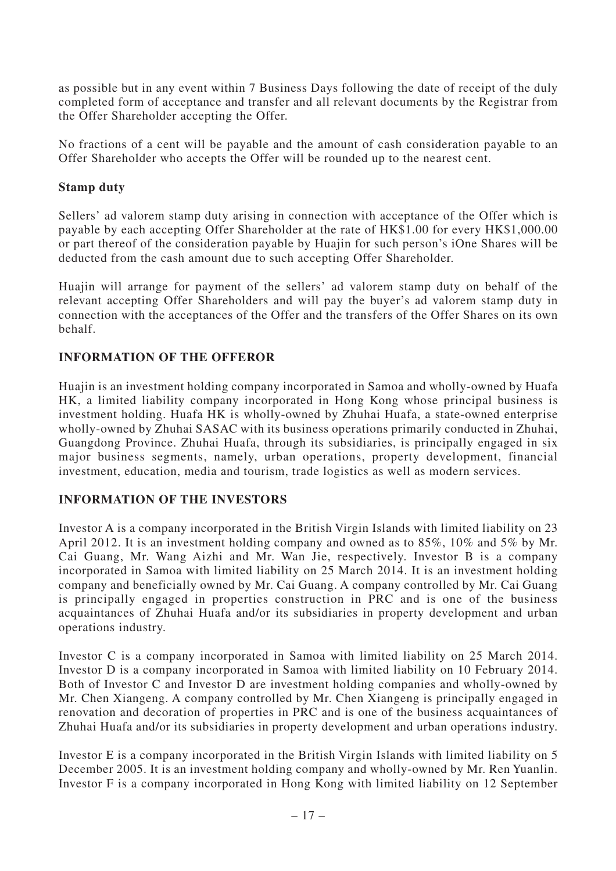as possible but in any event within 7 Business Days following the date of receipt of the duly completed form of acceptance and transfer and all relevant documents by the Registrar from the Offer Shareholder accepting the Offer.

No fractions of a cent will be payable and the amount of cash consideration payable to an Offer Shareholder who accepts the Offer will be rounded up to the nearest cent.

### **Stamp duty**

Sellers' ad valorem stamp duty arising in connection with acceptance of the Offer which is payable by each accepting Offer Shareholder at the rate of HK\$1.00 for every HK\$1,000.00 or part thereof of the consideration payable by Huajin for such person's iOne Shares will be deducted from the cash amount due to such accepting Offer Shareholder.

Huajin will arrange for payment of the sellers' ad valorem stamp duty on behalf of the relevant accepting Offer Shareholders and will pay the buyer's ad valorem stamp duty in connection with the acceptances of the Offer and the transfers of the Offer Shares on its own behalf.

## **INFORMATION OF THE OFFEROR**

Huajin is an investment holding company incorporated in Samoa and wholly-owned by Huafa HK, a limited liability company incorporated in Hong Kong whose principal business is investment holding. Huafa HK is wholly-owned by Zhuhai Huafa, a state-owned enterprise wholly-owned by Zhuhai SASAC with its business operations primarily conducted in Zhuhai, Guangdong Province. Zhuhai Huafa, through its subsidiaries, is principally engaged in six major business segments, namely, urban operations, property development, financial investment, education, media and tourism, trade logistics as well as modern services.

# **INFORMATION OF THE INVESTORS**

Investor A is a company incorporated in the British Virgin Islands with limited liability on 23 April 2012. It is an investment holding company and owned as to 85%, 10% and 5% by Mr. Cai Guang, Mr. Wang Aizhi and Mr. Wan Jie, respectively. Investor B is a company incorporated in Samoa with limited liability on 25 March 2014. It is an investment holding company and beneficially owned by Mr. Cai Guang. A company controlled by Mr. Cai Guang is principally engaged in properties construction in PRC and is one of the business acquaintances of Zhuhai Huafa and/or its subsidiaries in property development and urban operations industry.

Investor C is a company incorporated in Samoa with limited liability on 25 March 2014. Investor D is a company incorporated in Samoa with limited liability on 10 February 2014. Both of Investor C and Investor D are investment holding companies and wholly-owned by Mr. Chen Xiangeng. A company controlled by Mr. Chen Xiangeng is principally engaged in renovation and decoration of properties in PRC and is one of the business acquaintances of Zhuhai Huafa and/or its subsidiaries in property development and urban operations industry.

Investor E is a company incorporated in the British Virgin Islands with limited liability on 5 December 2005. It is an investment holding company and wholly-owned by Mr. Ren Yuanlin. Investor F is a company incorporated in Hong Kong with limited liability on 12 September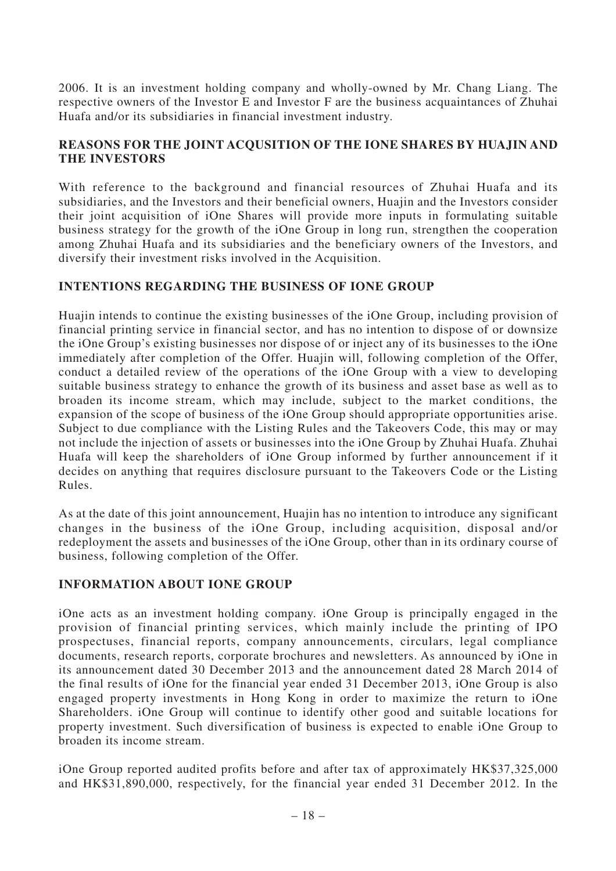2006. It is an investment holding company and wholly-owned by Mr. Chang Liang. The respective owners of the Investor E and Investor F are the business acquaintances of Zhuhai Huafa and/or its subsidiaries in financial investment industry.

## **REASONS FOR THE JOINT ACQUSITION OF THE IONE SHARES BY HUAJIN AND THE INVESTORS**

With reference to the background and financial resources of Zhuhai Huafa and its subsidiaries, and the Investors and their beneficial owners, Huajin and the Investors consider their joint acquisition of iOne Shares will provide more inputs in formulating suitable business strategy for the growth of the iOne Group in long run, strengthen the cooperation among Zhuhai Huafa and its subsidiaries and the beneficiary owners of the Investors, and diversify their investment risks involved in the Acquisition.

## **INTENTIONS REGARDING THE BUSINESS OF IONE GROUP**

Huajin intends to continue the existing businesses of the iOne Group, including provision of financial printing service in financial sector, and has no intention to dispose of or downsize the iOne Group's existing businesses nor dispose of or inject any of its businesses to the iOne immediately after completion of the Offer. Huajin will, following completion of the Offer, conduct a detailed review of the operations of the iOne Group with a view to developing suitable business strategy to enhance the growth of its business and asset base as well as to broaden its income stream, which may include, subject to the market conditions, the expansion of the scope of business of the iOne Group should appropriate opportunities arise. Subject to due compliance with the Listing Rules and the Takeovers Code, this may or may not include the injection of assets or businesses into the iOne Group by Zhuhai Huafa. Zhuhai Huafa will keep the shareholders of iOne Group informed by further announcement if it decides on anything that requires disclosure pursuant to the Takeovers Code or the Listing Rules.

As at the date of this joint announcement, Huajin has no intention to introduce any significant changes in the business of the iOne Group, including acquisition, disposal and/or redeployment the assets and businesses of the iOne Group, other than in its ordinary course of business, following completion of the Offer.

# **INFORMATION ABOUT IONE GROUP**

iOne acts as an investment holding company. iOne Group is principally engaged in the provision of financial printing services, which mainly include the printing of IPO prospectuses, financial reports, company announcements, circulars, legal compliance documents, research reports, corporate brochures and newsletters. As announced by iOne in its announcement dated 30 December 2013 and the announcement dated 28 March 2014 of the final results of iOne for the financial year ended 31 December 2013, iOne Group is also engaged property investments in Hong Kong in order to maximize the return to iOne Shareholders. iOne Group will continue to identify other good and suitable locations for property investment. Such diversification of business is expected to enable iOne Group to broaden its income stream.

iOne Group reported audited profits before and after tax of approximately HK\$37,325,000 and HK\$31,890,000, respectively, for the financial year ended 31 December 2012. In the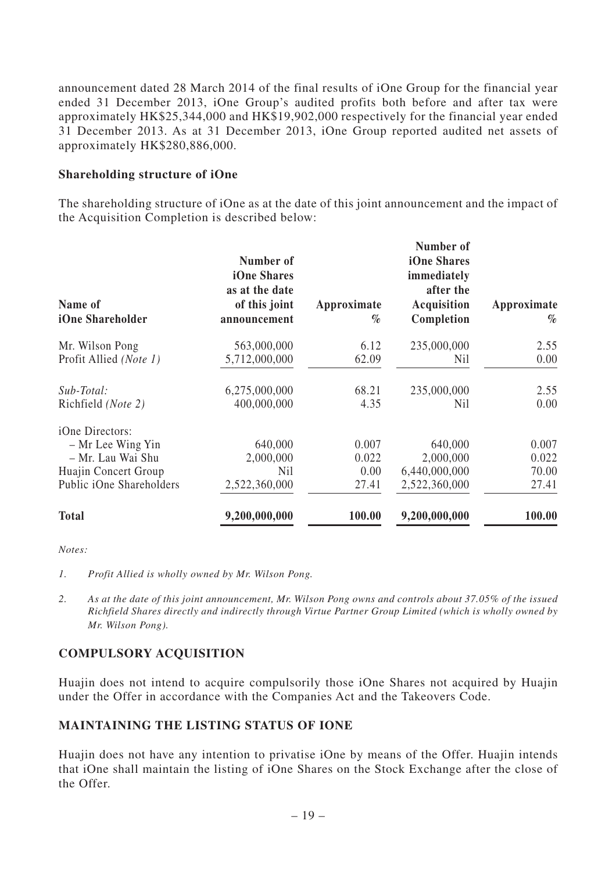announcement dated 28 March 2014 of the final results of iOne Group for the financial year ended 31 December 2013, iOne Group's audited profits both before and after tax were approximately HK\$25,344,000 and HK\$19,902,000 respectively for the financial year ended 31 December 2013. As at 31 December 2013, iOne Group reported audited net assets of approximately HK\$280,886,000.

### **Shareholding structure of iOne**

The shareholding structure of iOne as at the date of this joint announcement and the impact of the Acquisition Completion is described below:

| Name of<br>iOne Shareholder | Number of<br>iOne Shares<br>as at the date<br>of this joint<br>announcement | Approximate<br>$\%$ | Number of<br>iOne Shares<br>immediately<br>after the<br>Acquisition<br>Completion | Approximate<br>$\%$ |
|-----------------------------|-----------------------------------------------------------------------------|---------------------|-----------------------------------------------------------------------------------|---------------------|
| Mr. Wilson Pong             | 563,000,000                                                                 | 6.12                | 235,000,000                                                                       | 2.55                |
| Profit Allied (Note 1)      | 5,712,000,000                                                               | 62.09               | Nil                                                                               | 0.00                |
| Sub-Total:                  | 6,275,000,000                                                               | 68.21               | 235,000,000                                                                       | 2.55                |
| Richfield (Note 2)          | 400,000,000                                                                 | 4.35                | Nil                                                                               | 0.00                |
| iOne Directors:             |                                                                             |                     |                                                                                   |                     |
| - Mr Lee Wing Yin           | 640,000                                                                     | 0.007               | 640,000                                                                           | 0.007               |
| - Mr. Lau Wai Shu           | 2,000,000                                                                   | 0.022               | 2,000,000                                                                         | 0.022               |
| Huajin Concert Group        | <b>Nil</b>                                                                  | 0.00                | 6,440,000,000                                                                     | 70.00               |
| Public iOne Shareholders    | 2,522,360,000                                                               | 27.41               | 2,522,360,000                                                                     | 27.41               |
| <b>Total</b>                | 9,200,000,000                                                               | 100.00              | 9,200,000,000                                                                     | 100.00              |

*Notes:*

- *1. Profit Allied is wholly owned by Mr. Wilson Pong.*
- *2. As at the date of this joint announcement, Mr. Wilson Pong owns and controls about 37.05% of the issued Richfield Shares directly and indirectly through Virtue Partner Group Limited (which is wholly owned by Mr. Wilson Pong).*

# **COMPULSORY ACQUISITION**

Huajin does not intend to acquire compulsorily those iOne Shares not acquired by Huajin under the Offer in accordance with the Companies Act and the Takeovers Code.

#### **MAINTAINING THE LISTING STATUS OF IONE**

Huajin does not have any intention to privatise iOne by means of the Offer. Huajin intends that iOne shall maintain the listing of iOne Shares on the Stock Exchange after the close of the Offer.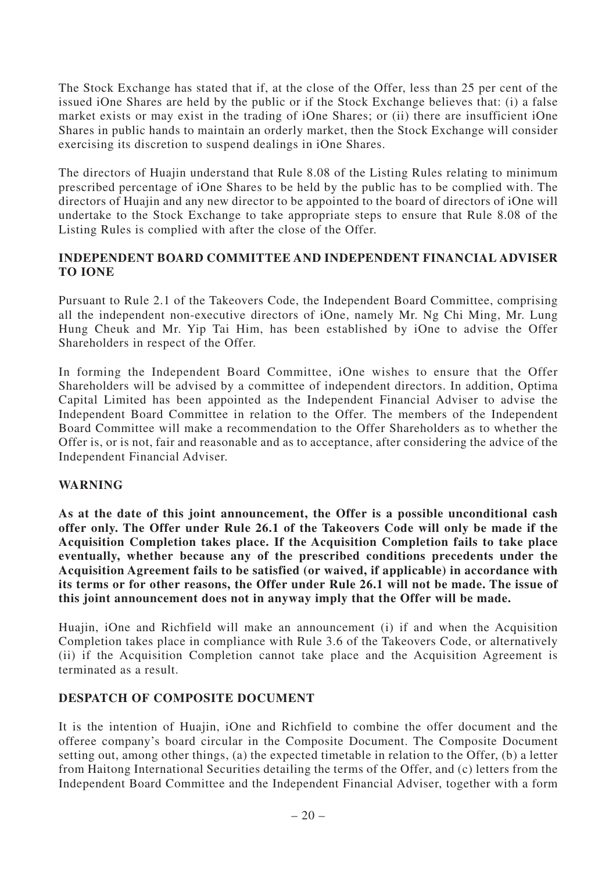The Stock Exchange has stated that if, at the close of the Offer, less than 25 per cent of the issued iOne Shares are held by the public or if the Stock Exchange believes that: (i) a false market exists or may exist in the trading of iOne Shares; or (ii) there are insufficient iOne Shares in public hands to maintain an orderly market, then the Stock Exchange will consider exercising its discretion to suspend dealings in iOne Shares.

The directors of Huajin understand that Rule 8.08 of the Listing Rules relating to minimum prescribed percentage of iOne Shares to be held by the public has to be complied with. The directors of Huajin and any new director to be appointed to the board of directors of iOne will undertake to the Stock Exchange to take appropriate steps to ensure that Rule 8.08 of the Listing Rules is complied with after the close of the Offer.

### **INDEPENDENT BOARD COMMITTEE AND INDEPENDENT FINANCIAL ADVISER TO IONE**

Pursuant to Rule 2.1 of the Takeovers Code, the Independent Board Committee, comprising all the independent non-executive directors of iOne, namely Mr. Ng Chi Ming, Mr. Lung Hung Cheuk and Mr. Yip Tai Him, has been established by iOne to advise the Offer Shareholders in respect of the Offer.

In forming the Independent Board Committee, iOne wishes to ensure that the Offer Shareholders will be advised by a committee of independent directors. In addition, Optima Capital Limited has been appointed as the Independent Financial Adviser to advise the Independent Board Committee in relation to the Offer. The members of the Independent Board Committee will make a recommendation to the Offer Shareholders as to whether the Offer is, or is not, fair and reasonable and as to acceptance, after considering the advice of the Independent Financial Adviser.

#### **WARNING**

**As at the date of this joint announcement, the Offer is a possible unconditional cash offer only. The Offer under Rule 26.1 of the Takeovers Code will only be made if the Acquisition Completion takes place. If the Acquisition Completion fails to take place eventually, whether because any of the prescribed conditions precedents under the Acquisition Agreement fails to be satisfied (or waived, if applicable) in accordance with its terms or for other reasons, the Offer under Rule 26.1 will not be made. The issue of this joint announcement does not in anyway imply that the Offer will be made.**

Huajin, iOne and Richfield will make an announcement (i) if and when the Acquisition Completion takes place in compliance with Rule 3.6 of the Takeovers Code, or alternatively (ii) if the Acquisition Completion cannot take place and the Acquisition Agreement is terminated as a result.

#### **DESPATCH OF COMPOSITE DOCUMENT**

It is the intention of Huajin, iOne and Richfield to combine the offer document and the offeree company's board circular in the Composite Document. The Composite Document setting out, among other things, (a) the expected timetable in relation to the Offer, (b) a letter from Haitong International Securities detailing the terms of the Offer, and (c) letters from the Independent Board Committee and the Independent Financial Adviser, together with a form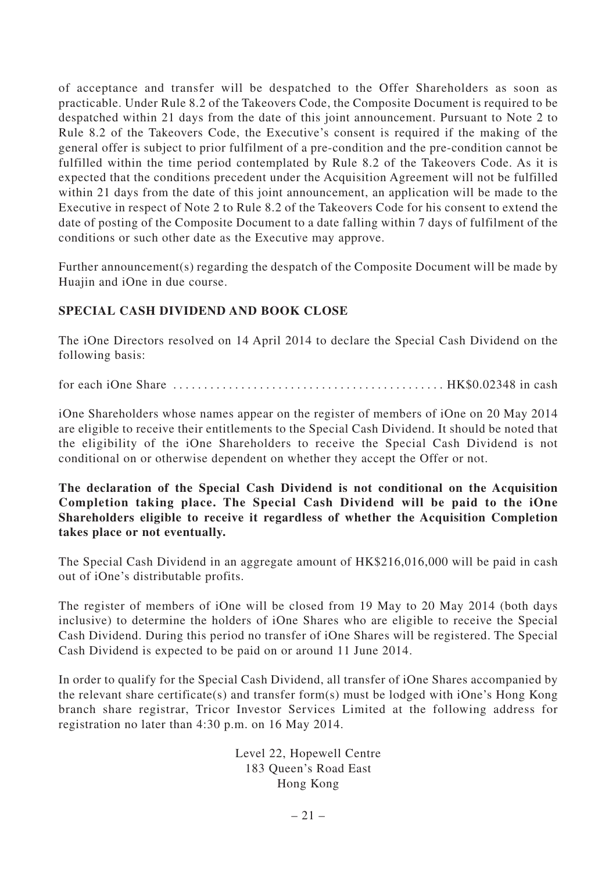of acceptance and transfer will be despatched to the Offer Shareholders as soon as practicable. Under Rule 8.2 of the Takeovers Code, the Composite Document is required to be despatched within 21 days from the date of this joint announcement. Pursuant to Note 2 to Rule 8.2 of the Takeovers Code, the Executive's consent is required if the making of the general offer is subject to prior fulfilment of a pre-condition and the pre-condition cannot be fulfilled within the time period contemplated by Rule 8.2 of the Takeovers Code. As it is expected that the conditions precedent under the Acquisition Agreement will not be fulfilled within 21 days from the date of this joint announcement, an application will be made to the Executive in respect of Note 2 to Rule 8.2 of the Takeovers Code for his consent to extend the date of posting of the Composite Document to a date falling within 7 days of fulfilment of the conditions or such other date as the Executive may approve.

Further announcement(s) regarding the despatch of the Composite Document will be made by Huajin and iOne in due course.

# **SPECIAL CASH DIVIDEND AND BOOK CLOSE**

The iOne Directors resolved on 14 April 2014 to declare the Special Cash Dividend on the following basis:

for each iOne Share  $\dots\dots\dots\dots\dots\dots\dots\dots\dots\dots\dots\dots\dots\dots$ . HK\$0.02348 in cash

iOne Shareholders whose names appear on the register of members of iOne on 20 May 2014 are eligible to receive their entitlements to the Special Cash Dividend. It should be noted that the eligibility of the iOne Shareholders to receive the Special Cash Dividend is not conditional on or otherwise dependent on whether they accept the Offer or not.

### **The declaration of the Special Cash Dividend is not conditional on the Acquisition Completion taking place. The Special Cash Dividend will be paid to the iOne Shareholders eligible to receive it regardless of whether the Acquisition Completion takes place or not eventually.**

The Special Cash Dividend in an aggregate amount of HK\$216,016,000 will be paid in cash out of iOne's distributable profits.

The register of members of iOne will be closed from 19 May to 20 May 2014 (both days inclusive) to determine the holders of iOne Shares who are eligible to receive the Special Cash Dividend. During this period no transfer of iOne Shares will be registered. The Special Cash Dividend is expected to be paid on or around 11 June 2014.

In order to qualify for the Special Cash Dividend, all transfer of iOne Shares accompanied by the relevant share certificate(s) and transfer form(s) must be lodged with iOne's Hong Kong branch share registrar, Tricor Investor Services Limited at the following address for registration no later than 4:30 p.m. on 16 May 2014.

> Level 22, Hopewell Centre 183 Queen's Road East Hong Kong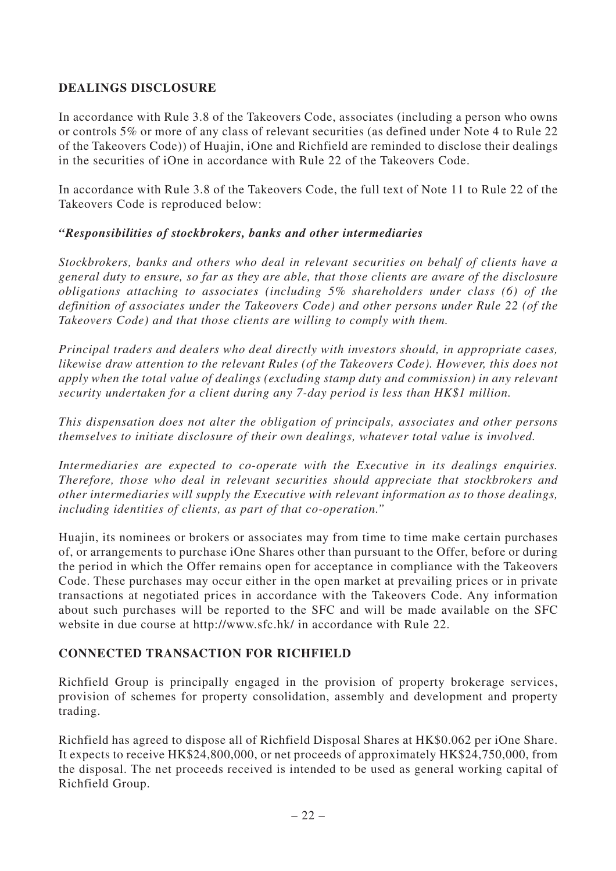# **DEALINGS DISCLOSURE**

In accordance with Rule 3.8 of the Takeovers Code, associates (including a person who owns or controls 5% or more of any class of relevant securities (as defined under Note 4 to Rule 22 of the Takeovers Code)) of Huajin, iOne and Richfield are reminded to disclose their dealings in the securities of iOne in accordance with Rule 22 of the Takeovers Code.

In accordance with Rule 3.8 of the Takeovers Code, the full text of Note 11 to Rule 22 of the Takeovers Code is reproduced below:

### *"Responsibilities of stockbrokers, banks and other intermediaries*

*Stockbrokers, banks and others who deal in relevant securities on behalf of clients have a general duty to ensure, so far as they are able, that those clients are aware of the disclosure obligations attaching to associates (including 5% shareholders under class (6) of the definition of associates under the Takeovers Code) and other persons under Rule 22 (of the Takeovers Code) and that those clients are willing to comply with them.*

*Principal traders and dealers who deal directly with investors should, in appropriate cases, likewise draw attention to the relevant Rules (of the Takeovers Code). However, this does not apply when the total value of dealings (excluding stamp duty and commission) in any relevant security undertaken for a client during any 7-day period is less than HK\$1 million.*

*This dispensation does not alter the obligation of principals, associates and other persons themselves to initiate disclosure of their own dealings, whatever total value is involved.*

*Intermediaries are expected to co-operate with the Executive in its dealings enquiries. Therefore, those who deal in relevant securities should appreciate that stockbrokers and other intermediaries will supply the Executive with relevant information as to those dealings, including identities of clients, as part of that co-operation."*

Huajin, its nominees or brokers or associates may from time to time make certain purchases of, or arrangements to purchase iOne Shares other than pursuant to the Offer, before or during the period in which the Offer remains open for acceptance in compliance with the Takeovers Code. These purchases may occur either in the open market at prevailing prices or in private transactions at negotiated prices in accordance with the Takeovers Code. Any information about such purchases will be reported to the SFC and will be made available on the SFC website in due course at http://www.sfc.hk/ in accordance with Rule 22.

#### **CONNECTED TRANSACTION FOR RICHFIELD**

Richfield Group is principally engaged in the provision of property brokerage services, provision of schemes for property consolidation, assembly and development and property trading.

Richfield has agreed to dispose all of Richfield Disposal Shares at HK\$0.062 per iOne Share. It expects to receive HK\$24,800,000, or net proceeds of approximately HK\$24,750,000, from the disposal. The net proceeds received is intended to be used as general working capital of Richfield Group.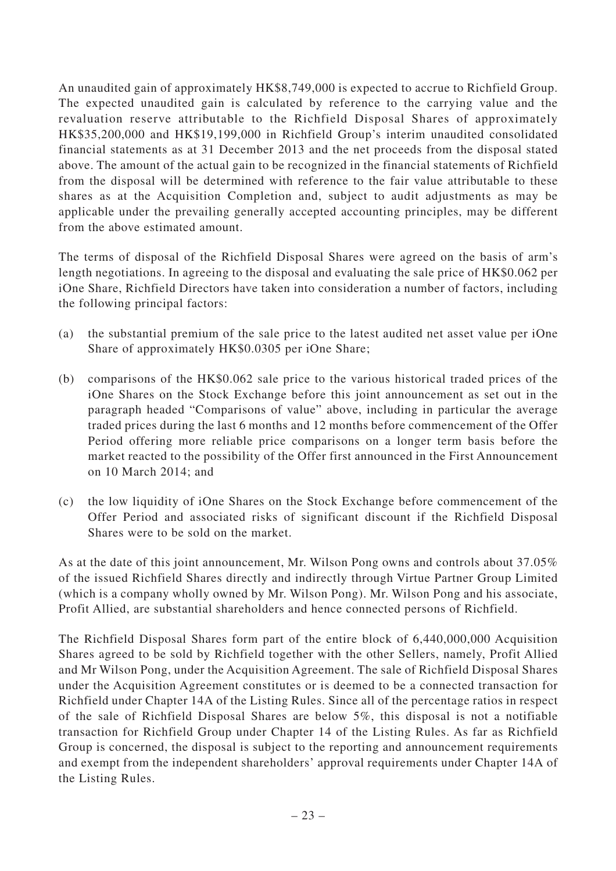An unaudited gain of approximately HK\$8,749,000 is expected to accrue to Richfield Group. The expected unaudited gain is calculated by reference to the carrying value and the revaluation reserve attributable to the Richfield Disposal Shares of approximately HK\$35,200,000 and HK\$19,199,000 in Richfield Group's interim unaudited consolidated financial statements as at 31 December 2013 and the net proceeds from the disposal stated above. The amount of the actual gain to be recognized in the financial statements of Richfield from the disposal will be determined with reference to the fair value attributable to these shares as at the Acquisition Completion and, subject to audit adjustments as may be applicable under the prevailing generally accepted accounting principles, may be different from the above estimated amount.

The terms of disposal of the Richfield Disposal Shares were agreed on the basis of arm's length negotiations. In agreeing to the disposal and evaluating the sale price of HK\$0.062 per iOne Share, Richfield Directors have taken into consideration a number of factors, including the following principal factors:

- (a) the substantial premium of the sale price to the latest audited net asset value per iOne Share of approximately HK\$0.0305 per iOne Share;
- (b) comparisons of the HK\$0.062 sale price to the various historical traded prices of the iOne Shares on the Stock Exchange before this joint announcement as set out in the paragraph headed "Comparisons of value" above, including in particular the average traded prices during the last 6 months and 12 months before commencement of the Offer Period offering more reliable price comparisons on a longer term basis before the market reacted to the possibility of the Offer first announced in the First Announcement on 10 March 2014; and
- (c) the low liquidity of iOne Shares on the Stock Exchange before commencement of the Offer Period and associated risks of significant discount if the Richfield Disposal Shares were to be sold on the market.

As at the date of this joint announcement, Mr. Wilson Pong owns and controls about 37.05% of the issued Richfield Shares directly and indirectly through Virtue Partner Group Limited (which is a company wholly owned by Mr. Wilson Pong). Mr. Wilson Pong and his associate, Profit Allied, are substantial shareholders and hence connected persons of Richfield.

The Richfield Disposal Shares form part of the entire block of 6,440,000,000 Acquisition Shares agreed to be sold by Richfield together with the other Sellers, namely, Profit Allied and Mr Wilson Pong, under the Acquisition Agreement. The sale of Richfield Disposal Shares under the Acquisition Agreement constitutes or is deemed to be a connected transaction for Richfield under Chapter 14A of the Listing Rules. Since all of the percentage ratios in respect of the sale of Richfield Disposal Shares are below 5%, this disposal is not a notifiable transaction for Richfield Group under Chapter 14 of the Listing Rules. As far as Richfield Group is concerned, the disposal is subject to the reporting and announcement requirements and exempt from the independent shareholders' approval requirements under Chapter 14A of the Listing Rules.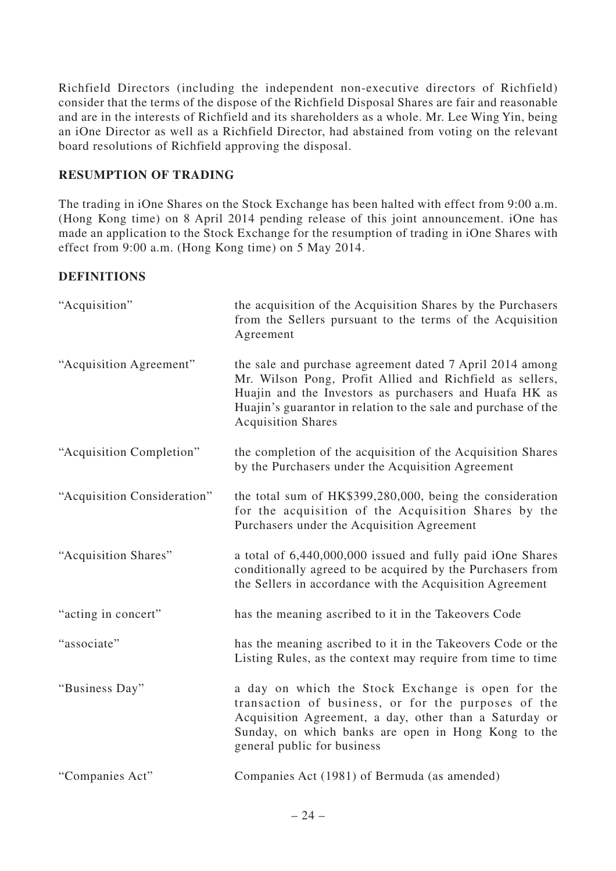Richfield Directors (including the independent non-executive directors of Richfield) consider that the terms of the dispose of the Richfield Disposal Shares are fair and reasonable and are in the interests of Richfield and its shareholders as a whole. Mr. Lee Wing Yin, being an iOne Director as well as a Richfield Director, had abstained from voting on the relevant board resolutions of Richfield approving the disposal.

# **RESUMPTION OF TRADING**

The trading in iOne Shares on the Stock Exchange has been halted with effect from 9:00 a.m. (Hong Kong time) on 8 April 2014 pending release of this joint announcement. iOne has made an application to the Stock Exchange for the resumption of trading in iOne Shares with effect from 9:00 a.m. (Hong Kong time) on 5 May 2014.

## **DEFINITIONS**

| "Acquisition"               | the acquisition of the Acquisition Shares by the Purchasers<br>from the Sellers pursuant to the terms of the Acquisition<br>Agreement                                                                                                                                         |
|-----------------------------|-------------------------------------------------------------------------------------------------------------------------------------------------------------------------------------------------------------------------------------------------------------------------------|
| "Acquisition Agreement"     | the sale and purchase agreement dated 7 April 2014 among<br>Mr. Wilson Pong, Profit Allied and Richfield as sellers,<br>Huajin and the Investors as purchasers and Huafa HK as<br>Huajin's guarantor in relation to the sale and purchase of the<br><b>Acquisition Shares</b> |
| "Acquisition Completion"    | the completion of the acquisition of the Acquisition Shares<br>by the Purchasers under the Acquisition Agreement                                                                                                                                                              |
| "Acquisition Consideration" | the total sum of HK\$399,280,000, being the consideration<br>for the acquisition of the Acquisition Shares by the<br>Purchasers under the Acquisition Agreement                                                                                                               |
| "Acquisition Shares"        | a total of 6,440,000,000 issued and fully paid iOne Shares<br>conditionally agreed to be acquired by the Purchasers from<br>the Sellers in accordance with the Acquisition Agreement                                                                                          |
| "acting in concert"         | has the meaning ascribed to it in the Takeovers Code                                                                                                                                                                                                                          |
| "associate"                 | has the meaning ascribed to it in the Takeovers Code or the<br>Listing Rules, as the context may require from time to time                                                                                                                                                    |
| "Business Day"              | a day on which the Stock Exchange is open for the<br>transaction of business, or for the purposes of the<br>Acquisition Agreement, a day, other than a Saturday or<br>Sunday, on which banks are open in Hong Kong to the<br>general public for business                      |
| "Companies Act"             | Companies Act (1981) of Bermuda (as amended)                                                                                                                                                                                                                                  |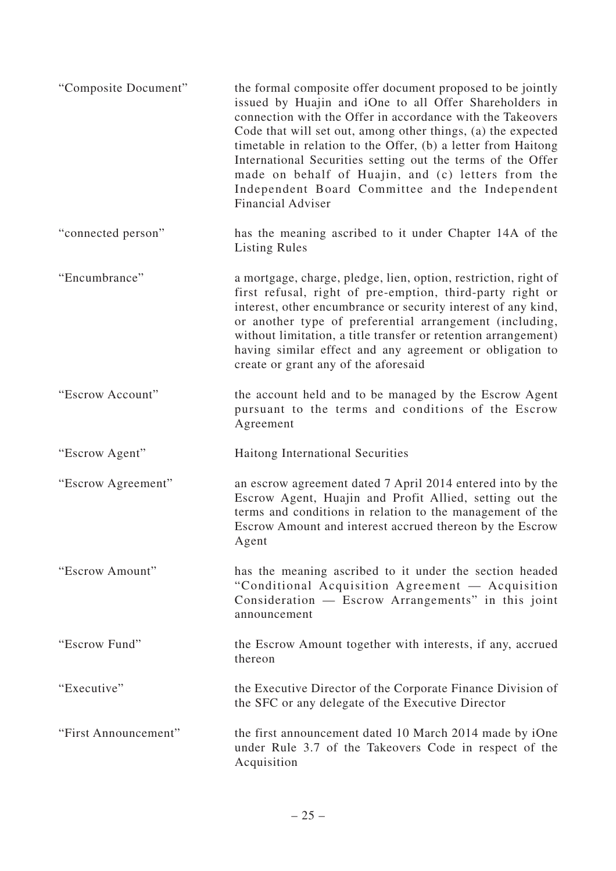| "Composite Document" | the formal composite offer document proposed to be jointly<br>issued by Huajin and iOne to all Offer Shareholders in<br>connection with the Offer in accordance with the Takeovers<br>Code that will set out, among other things, (a) the expected<br>timetable in relation to the Offer, (b) a letter from Haitong<br>International Securities setting out the terms of the Offer<br>made on behalf of Huajin, and (c) letters from the<br>Independent Board Committee and the Independent<br><b>Financial Adviser</b> |
|----------------------|-------------------------------------------------------------------------------------------------------------------------------------------------------------------------------------------------------------------------------------------------------------------------------------------------------------------------------------------------------------------------------------------------------------------------------------------------------------------------------------------------------------------------|
| "connected person"   | has the meaning ascribed to it under Chapter 14A of the<br><b>Listing Rules</b>                                                                                                                                                                                                                                                                                                                                                                                                                                         |
| "Encumbrance"        | a mortgage, charge, pledge, lien, option, restriction, right of<br>first refusal, right of pre-emption, third-party right or<br>interest, other encumbrance or security interest of any kind,<br>or another type of preferential arrangement (including,<br>without limitation, a title transfer or retention arrangement)<br>having similar effect and any agreement or obligation to<br>create or grant any of the aforesaid                                                                                          |
| "Escrow Account"     | the account held and to be managed by the Escrow Agent<br>pursuant to the terms and conditions of the Escrow<br>Agreement                                                                                                                                                                                                                                                                                                                                                                                               |
| "Escrow Agent"       | Haitong International Securities                                                                                                                                                                                                                                                                                                                                                                                                                                                                                        |
| "Escrow Agreement"   | an escrow agreement dated 7 April 2014 entered into by the<br>Escrow Agent, Huajin and Profit Allied, setting out the<br>terms and conditions in relation to the management of the<br>Escrow Amount and interest accrued thereon by the Escrow<br>Agent                                                                                                                                                                                                                                                                 |
| "Escrow Amount"      | has the meaning ascribed to it under the section headed<br>"Conditional Acquisition Agreement — Acquisition<br>Consideration — Escrow Arrangements" in this joint<br>announcement                                                                                                                                                                                                                                                                                                                                       |
| "Escrow Fund"        | the Escrow Amount together with interests, if any, accrued<br>thereon                                                                                                                                                                                                                                                                                                                                                                                                                                                   |
| "Executive"          | the Executive Director of the Corporate Finance Division of<br>the SFC or any delegate of the Executive Director                                                                                                                                                                                                                                                                                                                                                                                                        |
| "First Announcement" | the first announcement dated 10 March 2014 made by iOne<br>under Rule 3.7 of the Takeovers Code in respect of the<br>Acquisition                                                                                                                                                                                                                                                                                                                                                                                        |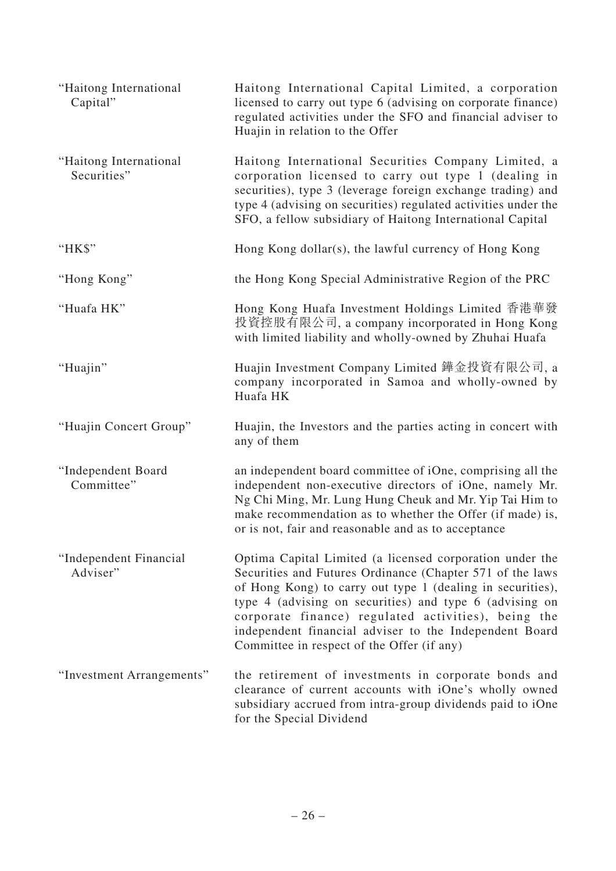| "Haitong International<br>Capital"    | Haitong International Capital Limited, a corporation<br>licensed to carry out type 6 (advising on corporate finance)<br>regulated activities under the SFO and financial adviser to<br>Huajin in relation to the Offer                                                                                                                                                                                        |
|---------------------------------------|---------------------------------------------------------------------------------------------------------------------------------------------------------------------------------------------------------------------------------------------------------------------------------------------------------------------------------------------------------------------------------------------------------------|
| "Haitong International<br>Securities" | Haitong International Securities Company Limited, a<br>corporation licensed to carry out type 1 (dealing in<br>securities), type 3 (leverage foreign exchange trading) and<br>type 4 (advising on securities) regulated activities under the<br>SFO, a fellow subsidiary of Haitong International Capital                                                                                                     |
| "HK\$"                                | Hong Kong dollar(s), the lawful currency of Hong Kong                                                                                                                                                                                                                                                                                                                                                         |
| "Hong Kong"                           | the Hong Kong Special Administrative Region of the PRC                                                                                                                                                                                                                                                                                                                                                        |
| "Huafa HK"                            | Hong Kong Huafa Investment Holdings Limited 香港華發<br>投資控股有限公司, a company incorporated in Hong Kong<br>with limited liability and wholly-owned by Zhuhai Huafa                                                                                                                                                                                                                                                  |
| "Huajin"                              | Huajin Investment Company Limited 鏵金投資有限公司, a<br>company incorporated in Samoa and wholly-owned by<br>Huafa HK                                                                                                                                                                                                                                                                                                |
| "Huajin Concert Group"                | Huajin, the Investors and the parties acting in concert with<br>any of them                                                                                                                                                                                                                                                                                                                                   |
| "Independent Board<br>Committee"      | an independent board committee of iOne, comprising all the<br>independent non-executive directors of iOne, namely Mr.<br>Ng Chi Ming, Mr. Lung Hung Cheuk and Mr. Yip Tai Him to<br>make recommendation as to whether the Offer (if made) is,<br>or is not, fair and reasonable and as to acceptance                                                                                                          |
| "Independent Financial<br>Adviser"    | Optima Capital Limited (a licensed corporation under the<br>Securities and Futures Ordinance (Chapter 571 of the laws<br>of Hong Kong) to carry out type 1 (dealing in securities),<br>type 4 (advising on securities) and type 6 (advising on<br>corporate finance) regulated activities), being the<br>independent financial adviser to the Independent Board<br>Committee in respect of the Offer (if any) |
| "Investment Arrangements"             | the retirement of investments in corporate bonds and<br>clearance of current accounts with iOne's wholly owned<br>subsidiary accrued from intra-group dividends paid to iOne<br>for the Special Dividend                                                                                                                                                                                                      |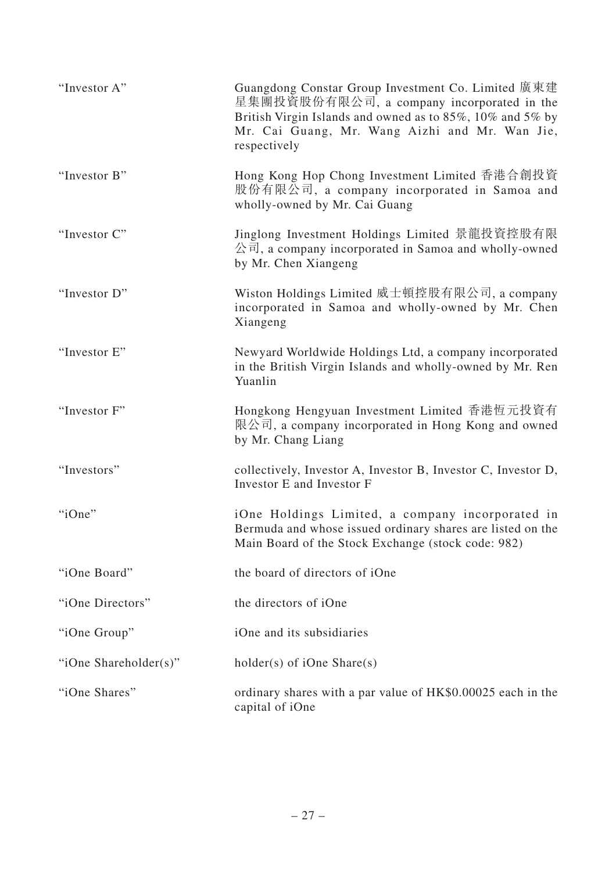| "Investor A"          | Guangdong Constar Group Investment Co. Limited 廣東建<br>星集團投資股份有限公司, a company incorporated in the<br>British Virgin Islands and owned as to 85%, 10% and 5% by<br>Mr. Cai Guang, Mr. Wang Aizhi and Mr. Wan Jie,<br>respectively |
|-----------------------|---------------------------------------------------------------------------------------------------------------------------------------------------------------------------------------------------------------------------------|
| "Investor B"          | Hong Kong Hop Chong Investment Limited 香港合創投資<br>股份有限公司, a company incorporated in Samoa and<br>wholly-owned by Mr. Cai Guang                                                                                                   |
| "Investor C"          | Jinglong Investment Holdings Limited 景龍投資控股有限<br>公司, a company incorporated in Samoa and wholly-owned<br>by Mr. Chen Xiangeng                                                                                                   |
| "Investor D"          | Wiston Holdings Limited 威士頓控股有限公司, a company<br>incorporated in Samoa and wholly-owned by Mr. Chen<br>Xiangeng                                                                                                                  |
| "Investor E"          | Newyard Worldwide Holdings Ltd, a company incorporated<br>in the British Virgin Islands and wholly-owned by Mr. Ren<br>Yuanlin                                                                                                  |
| "Investor F"          | Hongkong Hengyuan Investment Limited 香港恆元投資有<br>限公司, a company incorporated in Hong Kong and owned<br>by Mr. Chang Liang                                                                                                        |
| "Investors"           | collectively, Investor A, Investor B, Investor C, Investor D,<br>Investor E and Investor F                                                                                                                                      |
| "iOne"                | iOne Holdings Limited, a company incorporated in<br>Bermuda and whose issued ordinary shares are listed on the<br>Main Board of the Stock Exchange (stock code: 982)                                                            |
| "iOne Board"          | the board of directors of iOne                                                                                                                                                                                                  |
| "iOne Directors"      | the directors of iOne                                                                                                                                                                                                           |
| "iOne Group"          | iOne and its subsidiaries                                                                                                                                                                                                       |
| "iOne Shareholder(s)" | $holder(s)$ of iOne Share(s)                                                                                                                                                                                                    |
| "iOne Shares"         | ordinary shares with a par value of HK\$0.00025 each in the<br>capital of iOne                                                                                                                                                  |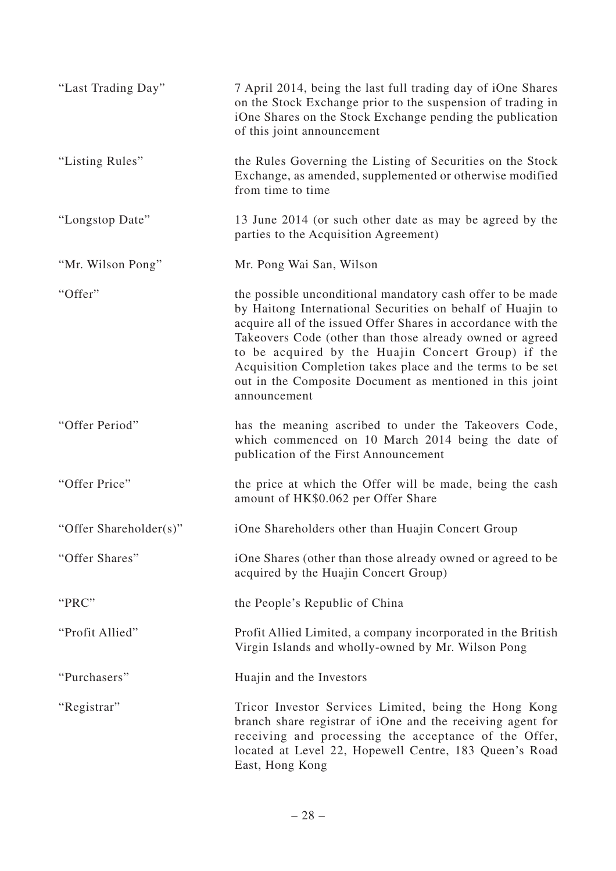| "Last Trading Day"     | 7 April 2014, being the last full trading day of iOne Shares<br>on the Stock Exchange prior to the suspension of trading in<br>iOne Shares on the Stock Exchange pending the publication<br>of this joint announcement                                                                                                                                                                                                                                |
|------------------------|-------------------------------------------------------------------------------------------------------------------------------------------------------------------------------------------------------------------------------------------------------------------------------------------------------------------------------------------------------------------------------------------------------------------------------------------------------|
| "Listing Rules"        | the Rules Governing the Listing of Securities on the Stock<br>Exchange, as amended, supplemented or otherwise modified<br>from time to time                                                                                                                                                                                                                                                                                                           |
| "Longstop Date"        | 13 June 2014 (or such other date as may be agreed by the<br>parties to the Acquisition Agreement)                                                                                                                                                                                                                                                                                                                                                     |
| "Mr. Wilson Pong"      | Mr. Pong Wai San, Wilson                                                                                                                                                                                                                                                                                                                                                                                                                              |
| "Offer"                | the possible unconditional mandatory cash offer to be made<br>by Haitong International Securities on behalf of Huajin to<br>acquire all of the issued Offer Shares in accordance with the<br>Takeovers Code (other than those already owned or agreed<br>to be acquired by the Huajin Concert Group) if the<br>Acquisition Completion takes place and the terms to be set<br>out in the Composite Document as mentioned in this joint<br>announcement |
| "Offer Period"         | has the meaning ascribed to under the Takeovers Code,<br>which commenced on 10 March 2014 being the date of<br>publication of the First Announcement                                                                                                                                                                                                                                                                                                  |
| "Offer Price"          | the price at which the Offer will be made, being the cash<br>amount of HK\$0.062 per Offer Share                                                                                                                                                                                                                                                                                                                                                      |
| "Offer Shareholder(s)" | iOne Shareholders other than Huajin Concert Group                                                                                                                                                                                                                                                                                                                                                                                                     |
| "Offer Shares"         | iOne Shares (other than those already owned or agreed to be<br>acquired by the Huajin Concert Group)                                                                                                                                                                                                                                                                                                                                                  |
| "PRC"                  | the People's Republic of China                                                                                                                                                                                                                                                                                                                                                                                                                        |
| "Profit Allied"        | Profit Allied Limited, a company incorporated in the British<br>Virgin Islands and wholly-owned by Mr. Wilson Pong                                                                                                                                                                                                                                                                                                                                    |
| "Purchasers"           | Huajin and the Investors                                                                                                                                                                                                                                                                                                                                                                                                                              |
| "Registrar"            | Tricor Investor Services Limited, being the Hong Kong<br>branch share registrar of iOne and the receiving agent for<br>receiving and processing the acceptance of the Offer,<br>located at Level 22, Hopewell Centre, 183 Queen's Road<br>East, Hong Kong                                                                                                                                                                                             |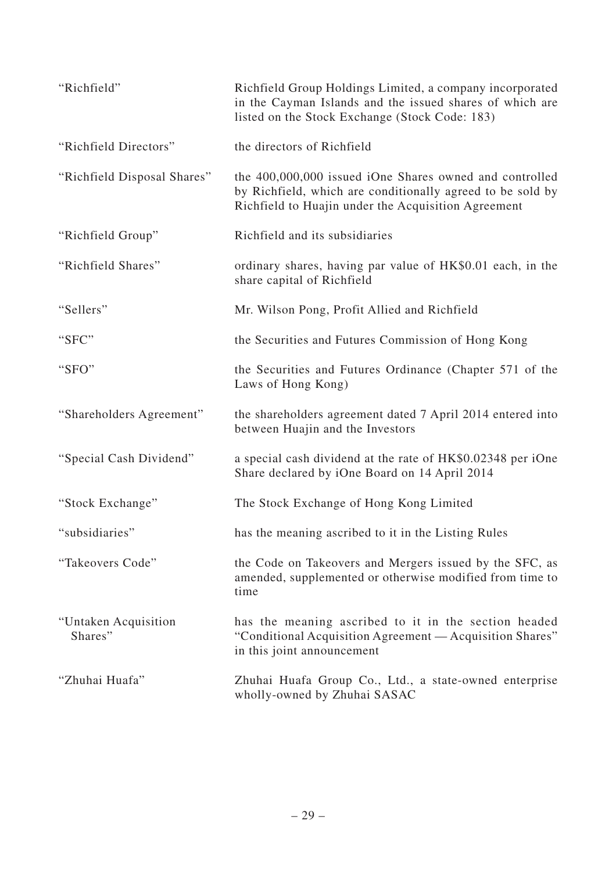| "Richfield"                      | Richfield Group Holdings Limited, a company incorporated<br>in the Cayman Islands and the issued shares of which are<br>listed on the Stock Exchange (Stock Code: 183)       |  |
|----------------------------------|------------------------------------------------------------------------------------------------------------------------------------------------------------------------------|--|
| "Richfield Directors"            | the directors of Richfield                                                                                                                                                   |  |
| "Richfield Disposal Shares"      | the 400,000,000 issued iOne Shares owned and controlled<br>by Richfield, which are conditionally agreed to be sold by<br>Richfield to Huajin under the Acquisition Agreement |  |
| "Richfield Group"                | Richfield and its subsidiaries                                                                                                                                               |  |
| "Richfield Shares"               | ordinary shares, having par value of HK\$0.01 each, in the<br>share capital of Richfield                                                                                     |  |
| "Sellers"                        | Mr. Wilson Pong, Profit Allied and Richfield                                                                                                                                 |  |
| "SFC"                            | the Securities and Futures Commission of Hong Kong                                                                                                                           |  |
| "SFO"                            | the Securities and Futures Ordinance (Chapter 571 of the<br>Laws of Hong Kong)                                                                                               |  |
| "Shareholders Agreement"         | the shareholders agreement dated 7 April 2014 entered into<br>between Huajin and the Investors                                                                               |  |
| "Special Cash Dividend"          | a special cash dividend at the rate of HK\$0.02348 per iOne<br>Share declared by iOne Board on 14 April 2014                                                                 |  |
| "Stock Exchange"                 | The Stock Exchange of Hong Kong Limited                                                                                                                                      |  |
| "subsidiaries"                   | has the meaning ascribed to it in the Listing Rules                                                                                                                          |  |
| "Takeovers Code"                 | the Code on Takeovers and Mergers issued by the SFC, as<br>amended, supplemented or otherwise modified from time to<br>time                                                  |  |
| "Untaken Acquisition"<br>Shares" | has the meaning ascribed to it in the section headed<br>"Conditional Acquisition Agreement — Acquisition Shares"<br>in this joint announcement                               |  |
| "Zhuhai Huafa"                   | Zhuhai Huafa Group Co., Ltd., a state-owned enterprise<br>wholly-owned by Zhuhai SASAC                                                                                       |  |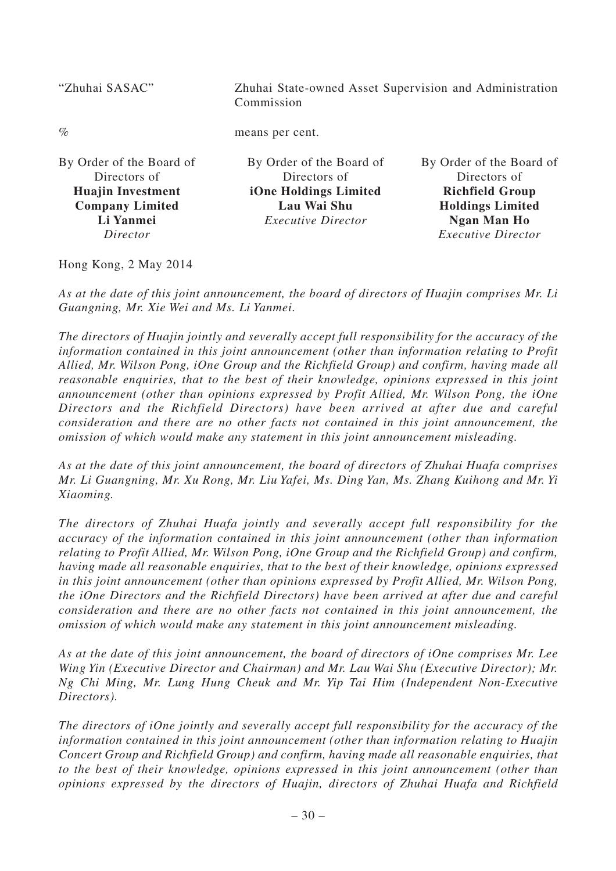| "Zhuhai SASAC"                                                                                              | Zhuhai State-owned Asset Supervision and Administration<br>Commission                                         |                                                                                                                     |
|-------------------------------------------------------------------------------------------------------------|---------------------------------------------------------------------------------------------------------------|---------------------------------------------------------------------------------------------------------------------|
| $\%$                                                                                                        | means per cent.                                                                                               |                                                                                                                     |
| By Order of the Board of<br>Directors of<br><b>Huajin Investment</b><br><b>Company Limited</b><br>Li Yanmei | By Order of the Board of<br>Directors of<br>iOne Holdings Limited<br>Lau Wai Shu<br><i>Executive Director</i> | By Order of the Board of<br>Directors of<br><b>Richfield Group</b><br><b>Holdings Limited</b><br><b>Ngan Man Ho</b> |
| Director                                                                                                    |                                                                                                               | <b>Executive Director</b>                                                                                           |

Hong Kong, 2 May 2014

*As at the date of this joint announcement, the board of directors of Huajin comprises Mr. Li Guangning, Mr. Xie Wei and Ms. Li Yanmei.*

*The directors of Huajin jointly and severally accept full responsibility for the accuracy of the information contained in this joint announcement (other than information relating to Profit Allied, Mr. Wilson Pong, iOne Group and the Richfield Group) and confirm, having made all reasonable enquiries, that to the best of their knowledge, opinions expressed in this joint announcement (other than opinions expressed by Profit Allied, Mr. Wilson Pong, the iOne Directors and the Richfield Directors) have been arrived at after due and careful consideration and there are no other facts not contained in this joint announcement, the omission of which would make any statement in this joint announcement misleading.*

*As at the date of this joint announcement, the board of directors of Zhuhai Huafa comprises Mr. Li Guangning, Mr. Xu Rong, Mr. Liu Yafei, Ms. Ding Yan, Ms. Zhang Kuihong and Mr. Yi Xiaoming.*

*The directors of Zhuhai Huafa jointly and severally accept full responsibility for the accuracy of the information contained in this joint announcement (other than information relating to Profit Allied, Mr. Wilson Pong, iOne Group and the Richfield Group) and confirm, having made all reasonable enquiries, that to the best of their knowledge, opinions expressed in this joint announcement (other than opinions expressed by Profit Allied, Mr. Wilson Pong, the iOne Directors and the Richfield Directors) have been arrived at after due and careful consideration and there are no other facts not contained in this joint announcement, the omission of which would make any statement in this joint announcement misleading.*

*As at the date of this joint announcement, the board of directors of iOne comprises Mr. Lee Wing Yin (Executive Director and Chairman) and Mr. Lau Wai Shu (Executive Director); Mr. Ng Chi Ming, Mr. Lung Hung Cheuk and Mr. Yip Tai Him (Independent Non-Executive Directors).*

*The directors of iOne jointly and severally accept full responsibility for the accuracy of the information contained in this joint announcement (other than information relating to Huajin Concert Group and Richfield Group) and confirm, having made all reasonable enquiries, that to the best of their knowledge, opinions expressed in this joint announcement (other than opinions expressed by the directors of Huajin, directors of Zhuhai Huafa and Richfield*